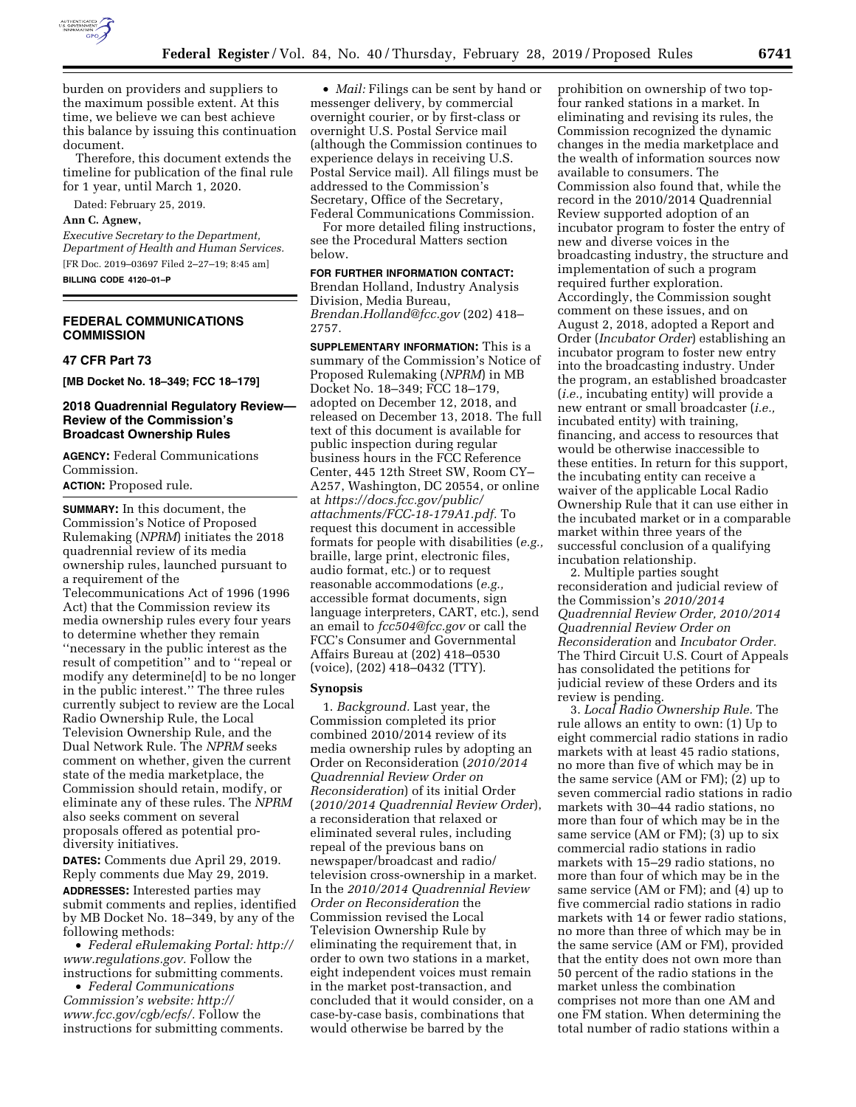

burden on providers and suppliers to the maximum possible extent. At this time, we believe we can best achieve this balance by issuing this continuation document.

Therefore, this document extends the timeline for publication of the final rule for 1 year, until March 1, 2020.

Dated: February 25, 2019.

### **Ann C. Agnew,**

*Executive Secretary to the Department, Department of Health and Human Services.*  [FR Doc. 2019–03697 Filed 2–27–19; 8:45 am] **BILLING CODE 4120–01–P** 

## **FEDERAL COMMUNICATIONS COMMISSION**

#### **47 CFR Part 73**

**[MB Docket No. 18–349; FCC 18–179]** 

## **2018 Quadrennial Regulatory Review— Review of the Commission's Broadcast Ownership Rules**

**AGENCY:** Federal Communications Commission.

**ACTION:** Proposed rule.

**SUMMARY:** In this document, the Commission's Notice of Proposed Rulemaking (*NPRM*) initiates the 2018 quadrennial review of its media ownership rules, launched pursuant to a requirement of the Telecommunications Act of 1996 (1996 Act) that the Commission review its media ownership rules every four years to determine whether they remain ''necessary in the public interest as the result of competition'' and to ''repeal or modify any determine[d] to be no longer in the public interest.'' The three rules currently subject to review are the Local Radio Ownership Rule, the Local Television Ownership Rule, and the Dual Network Rule. The *NPRM* seeks comment on whether, given the current state of the media marketplace, the Commission should retain, modify, or eliminate any of these rules. The *NPRM*  also seeks comment on several proposals offered as potential prodiversity initiatives.

**DATES:** Comments due April 29, 2019. Reply comments due May 29, 2019. **ADDRESSES:** Interested parties may submit comments and replies, identified by MB Docket No. 18–349, by any of the following methods:

• *Federal eRulemaking Portal: [http://](http://www.regulations.gov)  [www.regulations.gov.](http://www.regulations.gov)* Follow the instructions for submitting comments.

• *Federal Communications Commission's website: [http://](http://www.fcc.gov/cgb/ecfs/) [www.fcc.gov/cgb/ecfs/.](http://www.fcc.gov/cgb/ecfs/)* Follow the instructions for submitting comments.

• *Mail:* Filings can be sent by hand or messenger delivery, by commercial overnight courier, or by first-class or overnight U.S. Postal Service mail (although the Commission continues to experience delays in receiving U.S. Postal Service mail). All filings must be addressed to the Commission's Secretary, Office of the Secretary, Federal Communications Commission.

For more detailed filing instructions, see the Procedural Matters section below.

## **FOR FURTHER INFORMATION CONTACT:**

Brendan Holland, Industry Analysis Division, Media Bureau, *[Brendan.Holland@fcc.gov](mailto:Brendan.Holland@fcc.gov)* (202) 418– 2757.

**SUPPLEMENTARY INFORMATION:** This is a summary of the Commission's Notice of Proposed Rulemaking (*NPRM*) in MB Docket No. 18–349; FCC 18–179, adopted on December 12, 2018, and released on December 13, 2018. The full text of this document is available for public inspection during regular business hours in the FCC Reference Center, 445 12th Street SW, Room CY– A257, Washington, DC 20554, or online at *[https://docs.fcc.gov/public/](https://docs.fcc.gov/public/attachments/FCC-18-179A1.pdf)  [attachments/FCC-18-179A1.pdf.](https://docs.fcc.gov/public/attachments/FCC-18-179A1.pdf)* To request this document in accessible formats for people with disabilities (*e.g.,*  braille, large print, electronic files, audio format, etc.) or to request reasonable accommodations (*e.g.,*  accessible format documents, sign language interpreters, CART, etc.), send an email to *[fcc504@fcc.gov](mailto:fcc504@fcc.gov)* or call the FCC's Consumer and Governmental Affairs Bureau at (202) 418–0530 (voice), (202) 418–0432 (TTY).

# **Synopsis**

1. *Background.* Last year, the Commission completed its prior combined 2010/2014 review of its media ownership rules by adopting an Order on Reconsideration (*2010/2014 Quadrennial Review Order on Reconsideration*) of its initial Order (*2010/2014 Quadrennial Review Order*), a reconsideration that relaxed or eliminated several rules, including repeal of the previous bans on newspaper/broadcast and radio/ television cross-ownership in a market. In the *2010/2014 Quadrennial Review Order on Reconsideration* the Commission revised the Local Television Ownership Rule by eliminating the requirement that, in order to own two stations in a market, eight independent voices must remain in the market post-transaction, and concluded that it would consider, on a case-by-case basis, combinations that would otherwise be barred by the

prohibition on ownership of two topfour ranked stations in a market. In eliminating and revising its rules, the Commission recognized the dynamic changes in the media marketplace and the wealth of information sources now available to consumers. The Commission also found that, while the record in the 2010/2014 Quadrennial Review supported adoption of an incubator program to foster the entry of new and diverse voices in the broadcasting industry, the structure and implementation of such a program required further exploration. Accordingly, the Commission sought comment on these issues, and on August 2, 2018, adopted a Report and Order (*Incubator Order*) establishing an incubator program to foster new entry into the broadcasting industry. Under the program, an established broadcaster (*i.e.,* incubating entity) will provide a new entrant or small broadcaster (*i.e.,*  incubated entity) with training, financing, and access to resources that would be otherwise inaccessible to these entities. In return for this support, the incubating entity can receive a waiver of the applicable Local Radio Ownership Rule that it can use either in the incubated market or in a comparable market within three years of the successful conclusion of a qualifying incubation relationship.

2. Multiple parties sought reconsideration and judicial review of the Commission's *2010/2014 Quadrennial Review Order, 2010/2014 Quadrennial Review Order on Reconsideration* and *Incubator Order.*  The Third Circuit U.S. Court of Appeals has consolidated the petitions for judicial review of these Orders and its review is pending.

3. *Local Radio Ownership Rule.* The rule allows an entity to own: (1) Up to eight commercial radio stations in radio markets with at least 45 radio stations, no more than five of which may be in the same service (AM or FM); (2) up to seven commercial radio stations in radio markets with 30–44 radio stations, no more than four of which may be in the same service (AM or FM); (3) up to six commercial radio stations in radio markets with 15–29 radio stations, no more than four of which may be in the same service (AM or FM); and (4) up to five commercial radio stations in radio markets with 14 or fewer radio stations, no more than three of which may be in the same service (AM or FM), provided that the entity does not own more than 50 percent of the radio stations in the market unless the combination comprises not more than one AM and one FM station. When determining the total number of radio stations within a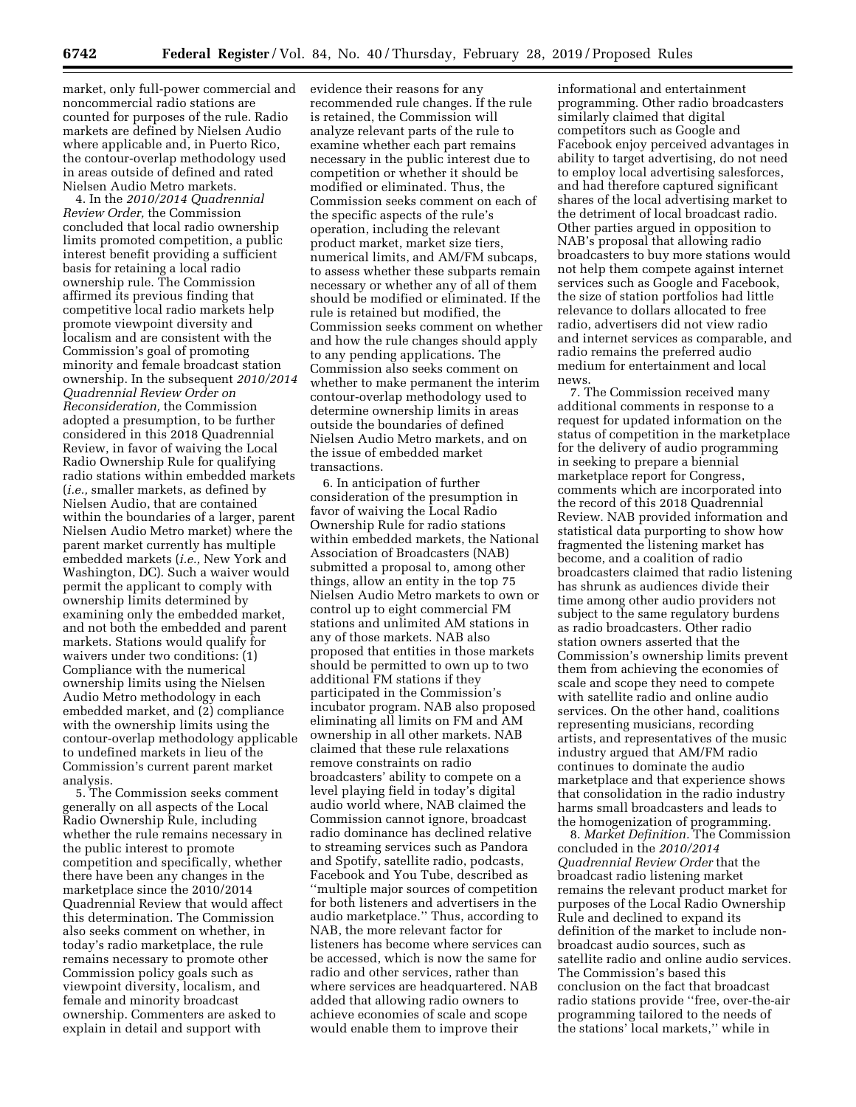market, only full-power commercial and noncommercial radio stations are counted for purposes of the rule. Radio markets are defined by Nielsen Audio where applicable and, in Puerto Rico, the contour-overlap methodology used in areas outside of defined and rated Nielsen Audio Metro markets.

4. In the *2010/2014 Quadrennial Review Order,* the Commission concluded that local radio ownership limits promoted competition, a public interest benefit providing a sufficient basis for retaining a local radio ownership rule. The Commission affirmed its previous finding that competitive local radio markets help promote viewpoint diversity and localism and are consistent with the Commission's goal of promoting minority and female broadcast station ownership. In the subsequent *2010/2014 Quadrennial Review Order on Reconsideration,* the Commission adopted a presumption, to be further considered in this 2018 Quadrennial Review, in favor of waiving the Local Radio Ownership Rule for qualifying radio stations within embedded markets (*i.e.,* smaller markets, as defined by Nielsen Audio, that are contained within the boundaries of a larger, parent Nielsen Audio Metro market) where the parent market currently has multiple embedded markets (*i.e.,* New York and Washington, DC). Such a waiver would permit the applicant to comply with ownership limits determined by examining only the embedded market, and not both the embedded and parent markets. Stations would qualify for waivers under two conditions: (1) Compliance with the numerical ownership limits using the Nielsen Audio Metro methodology in each embedded market, and (2) compliance with the ownership limits using the contour-overlap methodology applicable to undefined markets in lieu of the Commission's current parent market analysis.

5. The Commission seeks comment generally on all aspects of the Local Radio Ownership Rule, including whether the rule remains necessary in the public interest to promote competition and specifically, whether there have been any changes in the marketplace since the 2010/2014 Quadrennial Review that would affect this determination. The Commission also seeks comment on whether, in today's radio marketplace, the rule remains necessary to promote other Commission policy goals such as viewpoint diversity, localism, and female and minority broadcast ownership. Commenters are asked to explain in detail and support with

evidence their reasons for any recommended rule changes. If the rule is retained, the Commission will analyze relevant parts of the rule to examine whether each part remains necessary in the public interest due to competition or whether it should be modified or eliminated. Thus, the Commission seeks comment on each of the specific aspects of the rule's operation, including the relevant product market, market size tiers, numerical limits, and AM/FM subcaps, to assess whether these subparts remain necessary or whether any of all of them should be modified or eliminated. If the rule is retained but modified, the Commission seeks comment on whether and how the rule changes should apply to any pending applications. The Commission also seeks comment on whether to make permanent the interim contour-overlap methodology used to determine ownership limits in areas outside the boundaries of defined Nielsen Audio Metro markets, and on the issue of embedded market transactions.

6. In anticipation of further consideration of the presumption in favor of waiving the Local Radio Ownership Rule for radio stations within embedded markets, the National Association of Broadcasters (NAB) submitted a proposal to, among other things, allow an entity in the top 75 Nielsen Audio Metro markets to own or control up to eight commercial FM stations and unlimited AM stations in any of those markets. NAB also proposed that entities in those markets should be permitted to own up to two additional FM stations if they participated in the Commission's incubator program. NAB also proposed eliminating all limits on FM and AM ownership in all other markets. NAB claimed that these rule relaxations remove constraints on radio broadcasters' ability to compete on a level playing field in today's digital audio world where, NAB claimed the Commission cannot ignore, broadcast radio dominance has declined relative to streaming services such as Pandora and Spotify, satellite radio, podcasts, Facebook and You Tube, described as ''multiple major sources of competition for both listeners and advertisers in the audio marketplace.'' Thus, according to NAB, the more relevant factor for listeners has become where services can be accessed, which is now the same for radio and other services, rather than where services are headquartered. NAB added that allowing radio owners to achieve economies of scale and scope would enable them to improve their

informational and entertainment programming. Other radio broadcasters similarly claimed that digital competitors such as Google and Facebook enjoy perceived advantages in ability to target advertising, do not need to employ local advertising salesforces, and had therefore captured significant shares of the local advertising market to the detriment of local broadcast radio. Other parties argued in opposition to NAB's proposal that allowing radio broadcasters to buy more stations would not help them compete against internet services such as Google and Facebook, the size of station portfolios had little relevance to dollars allocated to free radio, advertisers did not view radio and internet services as comparable, and radio remains the preferred audio medium for entertainment and local news.

7. The Commission received many additional comments in response to a request for updated information on the status of competition in the marketplace for the delivery of audio programming in seeking to prepare a biennial marketplace report for Congress, comments which are incorporated into the record of this 2018 Quadrennial Review. NAB provided information and statistical data purporting to show how fragmented the listening market has become, and a coalition of radio broadcasters claimed that radio listening has shrunk as audiences divide their time among other audio providers not subject to the same regulatory burdens as radio broadcasters. Other radio station owners asserted that the Commission's ownership limits prevent them from achieving the economies of scale and scope they need to compete with satellite radio and online audio services. On the other hand, coalitions representing musicians, recording artists, and representatives of the music industry argued that AM/FM radio continues to dominate the audio marketplace and that experience shows that consolidation in the radio industry harms small broadcasters and leads to the homogenization of programming.

8. *Market Definition.* The Commission concluded in the *2010/2014 Quadrennial Review Order* that the broadcast radio listening market remains the relevant product market for purposes of the Local Radio Ownership Rule and declined to expand its definition of the market to include nonbroadcast audio sources, such as satellite radio and online audio services. The Commission's based this conclusion on the fact that broadcast radio stations provide ''free, over-the-air programming tailored to the needs of the stations' local markets,'' while in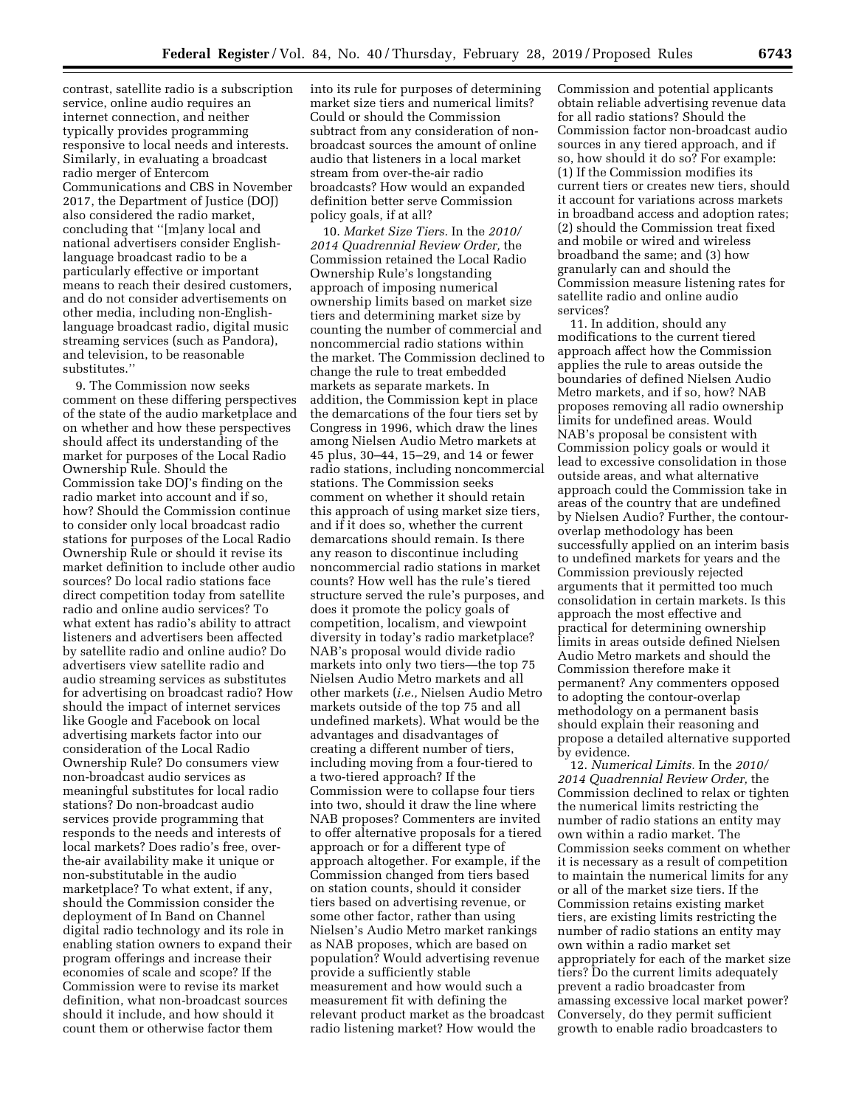contrast, satellite radio is a subscription service, online audio requires an internet connection, and neither typically provides programming responsive to local needs and interests. Similarly, in evaluating a broadcast radio merger of Entercom Communications and CBS in November 2017, the Department of Justice (DOJ) also considered the radio market, concluding that ''[m]any local and national advertisers consider Englishlanguage broadcast radio to be a particularly effective or important means to reach their desired customers, and do not consider advertisements on other media, including non-Englishlanguage broadcast radio, digital music streaming services (such as Pandora), and television, to be reasonable substitutes.''

9. The Commission now seeks comment on these differing perspectives of the state of the audio marketplace and on whether and how these perspectives should affect its understanding of the market for purposes of the Local Radio Ownership Rule. Should the Commission take DOJ's finding on the radio market into account and if so, how? Should the Commission continue to consider only local broadcast radio stations for purposes of the Local Radio Ownership Rule or should it revise its market definition to include other audio sources? Do local radio stations face direct competition today from satellite radio and online audio services? To what extent has radio's ability to attract listeners and advertisers been affected by satellite radio and online audio? Do advertisers view satellite radio and audio streaming services as substitutes for advertising on broadcast radio? How should the impact of internet services like Google and Facebook on local advertising markets factor into our consideration of the Local Radio Ownership Rule? Do consumers view non-broadcast audio services as meaningful substitutes for local radio stations? Do non-broadcast audio services provide programming that responds to the needs and interests of local markets? Does radio's free, overthe-air availability make it unique or non-substitutable in the audio marketplace? To what extent, if any, should the Commission consider the deployment of In Band on Channel digital radio technology and its role in enabling station owners to expand their program offerings and increase their economies of scale and scope? If the Commission were to revise its market definition, what non-broadcast sources should it include, and how should it count them or otherwise factor them

into its rule for purposes of determining market size tiers and numerical limits? Could or should the Commission subtract from any consideration of nonbroadcast sources the amount of online audio that listeners in a local market stream from over-the-air radio broadcasts? How would an expanded definition better serve Commission policy goals, if at all?

10. *Market Size Tiers.* In the *2010/ 2014 Quadrennial Review Order,* the Commission retained the Local Radio Ownership Rule's longstanding approach of imposing numerical ownership limits based on market size tiers and determining market size by counting the number of commercial and noncommercial radio stations within the market. The Commission declined to change the rule to treat embedded markets as separate markets. In addition, the Commission kept in place the demarcations of the four tiers set by Congress in 1996, which draw the lines among Nielsen Audio Metro markets at 45 plus, 30–44, 15–29, and 14 or fewer radio stations, including noncommercial stations. The Commission seeks comment on whether it should retain this approach of using market size tiers, and if it does so, whether the current demarcations should remain. Is there any reason to discontinue including noncommercial radio stations in market counts? How well has the rule's tiered structure served the rule's purposes, and does it promote the policy goals of competition, localism, and viewpoint diversity in today's radio marketplace? NAB's proposal would divide radio markets into only two tiers—the top 75 Nielsen Audio Metro markets and all other markets (*i.e.,* Nielsen Audio Metro markets outside of the top 75 and all undefined markets). What would be the advantages and disadvantages of creating a different number of tiers, including moving from a four-tiered to a two-tiered approach? If the Commission were to collapse four tiers into two, should it draw the line where NAB proposes? Commenters are invited to offer alternative proposals for a tiered approach or for a different type of approach altogether. For example, if the Commission changed from tiers based on station counts, should it consider tiers based on advertising revenue, or some other factor, rather than using Nielsen's Audio Metro market rankings as NAB proposes, which are based on population? Would advertising revenue provide a sufficiently stable measurement and how would such a measurement fit with defining the relevant product market as the broadcast radio listening market? How would the

Commission and potential applicants obtain reliable advertising revenue data for all radio stations? Should the Commission factor non-broadcast audio sources in any tiered approach, and if so, how should it do so? For example: (1) If the Commission modifies its current tiers or creates new tiers, should it account for variations across markets in broadband access and adoption rates; (2) should the Commission treat fixed and mobile or wired and wireless broadband the same; and (3) how granularly can and should the Commission measure listening rates for satellite radio and online audio services?

11. In addition, should any modifications to the current tiered approach affect how the Commission applies the rule to areas outside the boundaries of defined Nielsen Audio Metro markets, and if so, how? NAB proposes removing all radio ownership limits for undefined areas. Would NAB's proposal be consistent with Commission policy goals or would it lead to excessive consolidation in those outside areas, and what alternative approach could the Commission take in areas of the country that are undefined by Nielsen Audio? Further, the contouroverlap methodology has been successfully applied on an interim basis to undefined markets for years and the Commission previously rejected arguments that it permitted too much consolidation in certain markets. Is this approach the most effective and practical for determining ownership limits in areas outside defined Nielsen Audio Metro markets and should the Commission therefore make it permanent? Any commenters opposed to adopting the contour-overlap methodology on a permanent basis should explain their reasoning and propose a detailed alternative supported by evidence.

12. *Numerical Limits.* In the *2010/ 2014 Quadrennial Review Order,* the Commission declined to relax or tighten the numerical limits restricting the number of radio stations an entity may own within a radio market. The Commission seeks comment on whether it is necessary as a result of competition to maintain the numerical limits for any or all of the market size tiers. If the Commission retains existing market tiers, are existing limits restricting the number of radio stations an entity may own within a radio market set appropriately for each of the market size tiers? Do the current limits adequately prevent a radio broadcaster from amassing excessive local market power? Conversely, do they permit sufficient growth to enable radio broadcasters to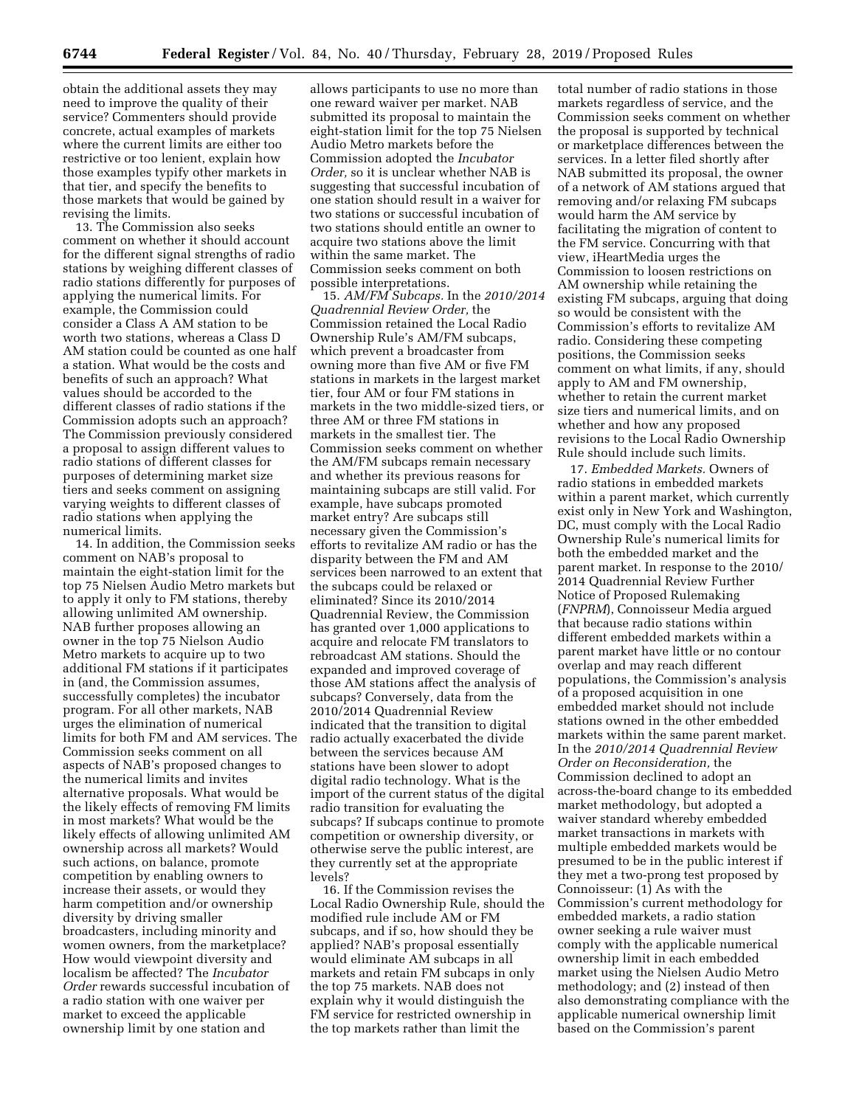obtain the additional assets they may need to improve the quality of their service? Commenters should provide concrete, actual examples of markets where the current limits are either too restrictive or too lenient, explain how those examples typify other markets in that tier, and specify the benefits to those markets that would be gained by revising the limits.

13. The Commission also seeks comment on whether it should account for the different signal strengths of radio stations by weighing different classes of radio stations differently for purposes of applying the numerical limits. For example, the Commission could consider a Class A AM station to be worth two stations, whereas a Class D AM station could be counted as one half a station. What would be the costs and benefits of such an approach? What values should be accorded to the different classes of radio stations if the Commission adopts such an approach? The Commission previously considered a proposal to assign different values to radio stations of different classes for purposes of determining market size tiers and seeks comment on assigning varying weights to different classes of radio stations when applying the numerical limits.

14. In addition, the Commission seeks comment on NAB's proposal to maintain the eight-station limit for the top 75 Nielsen Audio Metro markets but to apply it only to FM stations, thereby allowing unlimited AM ownership. NAB further proposes allowing an owner in the top 75 Nielson Audio Metro markets to acquire up to two additional FM stations if it participates in (and, the Commission assumes, successfully completes) the incubator program. For all other markets, NAB urges the elimination of numerical limits for both FM and AM services. The Commission seeks comment on all aspects of NAB's proposed changes to the numerical limits and invites alternative proposals. What would be the likely effects of removing FM limits in most markets? What would be the likely effects of allowing unlimited AM ownership across all markets? Would such actions, on balance, promote competition by enabling owners to increase their assets, or would they harm competition and/or ownership diversity by driving smaller broadcasters, including minority and women owners, from the marketplace? How would viewpoint diversity and localism be affected? The *Incubator Order* rewards successful incubation of a radio station with one waiver per market to exceed the applicable ownership limit by one station and

allows participants to use no more than one reward waiver per market. NAB submitted its proposal to maintain the eight-station limit for the top 75 Nielsen Audio Metro markets before the Commission adopted the *Incubator Order,* so it is unclear whether NAB is suggesting that successful incubation of one station should result in a waiver for two stations or successful incubation of two stations should entitle an owner to acquire two stations above the limit within the same market. The Commission seeks comment on both possible interpretations.

15. *AM/FM Subcaps.* In the *2010/2014 Quadrennial Review Order,* the Commission retained the Local Radio Ownership Rule's AM/FM subcaps, which prevent a broadcaster from owning more than five AM or five FM stations in markets in the largest market tier, four AM or four FM stations in markets in the two middle-sized tiers, or three AM or three FM stations in markets in the smallest tier. The Commission seeks comment on whether the AM/FM subcaps remain necessary and whether its previous reasons for maintaining subcaps are still valid. For example, have subcaps promoted market entry? Are subcaps still necessary given the Commission's efforts to revitalize AM radio or has the disparity between the FM and AM services been narrowed to an extent that the subcaps could be relaxed or eliminated? Since its 2010/2014 Quadrennial Review, the Commission has granted over 1,000 applications to acquire and relocate FM translators to rebroadcast AM stations. Should the expanded and improved coverage of those AM stations affect the analysis of subcaps? Conversely, data from the 2010/2014 Quadrennial Review indicated that the transition to digital radio actually exacerbated the divide between the services because AM stations have been slower to adopt digital radio technology. What is the import of the current status of the digital radio transition for evaluating the subcaps? If subcaps continue to promote competition or ownership diversity, or otherwise serve the public interest, are they currently set at the appropriate levels?

16. If the Commission revises the Local Radio Ownership Rule, should the modified rule include AM or FM subcaps, and if so, how should they be applied? NAB's proposal essentially would eliminate AM subcaps in all markets and retain FM subcaps in only the top 75 markets. NAB does not explain why it would distinguish the FM service for restricted ownership in the top markets rather than limit the

total number of radio stations in those markets regardless of service, and the Commission seeks comment on whether the proposal is supported by technical or marketplace differences between the services. In a letter filed shortly after NAB submitted its proposal, the owner of a network of AM stations argued that removing and/or relaxing FM subcaps would harm the AM service by facilitating the migration of content to the FM service. Concurring with that view, iHeartMedia urges the Commission to loosen restrictions on AM ownership while retaining the existing FM subcaps, arguing that doing so would be consistent with the Commission's efforts to revitalize AM radio. Considering these competing positions, the Commission seeks comment on what limits, if any, should apply to AM and FM ownership, whether to retain the current market size tiers and numerical limits, and on whether and how any proposed revisions to the Local Radio Ownership Rule should include such limits.

17. *Embedded Markets.* Owners of radio stations in embedded markets within a parent market, which currently exist only in New York and Washington, DC, must comply with the Local Radio Ownership Rule's numerical limits for both the embedded market and the parent market. In response to the 2010/ 2014 Quadrennial Review Further Notice of Proposed Rulemaking (*FNPRM*), Connoisseur Media argued that because radio stations within different embedded markets within a parent market have little or no contour overlap and may reach different populations, the Commission's analysis of a proposed acquisition in one embedded market should not include stations owned in the other embedded markets within the same parent market. In the *2010/2014 Quadrennial Review Order on Reconsideration,* the Commission declined to adopt an across-the-board change to its embedded market methodology, but adopted a waiver standard whereby embedded market transactions in markets with multiple embedded markets would be presumed to be in the public interest if they met a two-prong test proposed by Connoisseur: (1) As with the Commission's current methodology for embedded markets, a radio station owner seeking a rule waiver must comply with the applicable numerical ownership limit in each embedded market using the Nielsen Audio Metro methodology; and (2) instead of then also demonstrating compliance with the applicable numerical ownership limit based on the Commission's parent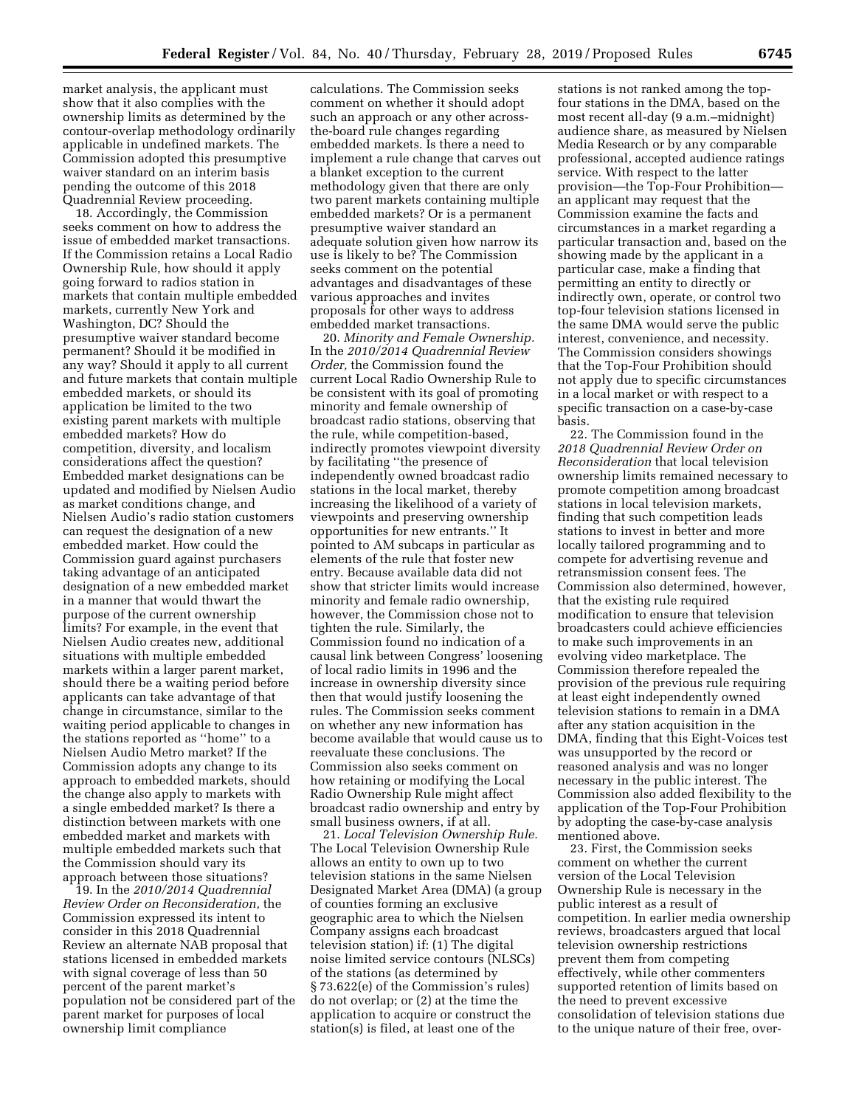market analysis, the applicant must show that it also complies with the ownership limits as determined by the contour-overlap methodology ordinarily applicable in undefined markets. The Commission adopted this presumptive waiver standard on an interim basis pending the outcome of this 2018 Quadrennial Review proceeding.

18. Accordingly, the Commission seeks comment on how to address the issue of embedded market transactions. If the Commission retains a Local Radio Ownership Rule, how should it apply going forward to radios station in markets that contain multiple embedded markets, currently New York and Washington, DC? Should the presumptive waiver standard become permanent? Should it be modified in any way? Should it apply to all current and future markets that contain multiple embedded markets, or should its application be limited to the two existing parent markets with multiple embedded markets? How do competition, diversity, and localism considerations affect the question? Embedded market designations can be updated and modified by Nielsen Audio as market conditions change, and Nielsen Audio's radio station customers can request the designation of a new embedded market. How could the Commission guard against purchasers taking advantage of an anticipated designation of a new embedded market in a manner that would thwart the purpose of the current ownership limits? For example, in the event that Nielsen Audio creates new, additional situations with multiple embedded markets within a larger parent market, should there be a waiting period before applicants can take advantage of that change in circumstance, similar to the waiting period applicable to changes in the stations reported as ''home'' to a Nielsen Audio Metro market? If the Commission adopts any change to its approach to embedded markets, should the change also apply to markets with a single embedded market? Is there a distinction between markets with one embedded market and markets with multiple embedded markets such that the Commission should vary its approach between those situations?

19. In the *2010/2014 Quadrennial Review Order on Reconsideration,* the Commission expressed its intent to consider in this 2018 Quadrennial Review an alternate NAB proposal that stations licensed in embedded markets with signal coverage of less than 50 percent of the parent market's population not be considered part of the parent market for purposes of local ownership limit compliance

calculations. The Commission seeks comment on whether it should adopt such an approach or any other acrossthe-board rule changes regarding embedded markets. Is there a need to implement a rule change that carves out a blanket exception to the current methodology given that there are only two parent markets containing multiple embedded markets? Or is a permanent presumptive waiver standard an adequate solution given how narrow its use is likely to be? The Commission seeks comment on the potential advantages and disadvantages of these various approaches and invites proposals for other ways to address embedded market transactions.

20. *Minority and Female Ownership.*  In the *2010/2014 Quadrennial Review Order,* the Commission found the current Local Radio Ownership Rule to be consistent with its goal of promoting minority and female ownership of broadcast radio stations, observing that the rule, while competition-based, indirectly promotes viewpoint diversity by facilitating ''the presence of independently owned broadcast radio stations in the local market, thereby increasing the likelihood of a variety of viewpoints and preserving ownership opportunities for new entrants.'' It pointed to AM subcaps in particular as elements of the rule that foster new entry. Because available data did not show that stricter limits would increase minority and female radio ownership, however, the Commission chose not to tighten the rule. Similarly, the Commission found no indication of a causal link between Congress' loosening of local radio limits in 1996 and the increase in ownership diversity since then that would justify loosening the rules. The Commission seeks comment on whether any new information has become available that would cause us to reevaluate these conclusions. The Commission also seeks comment on how retaining or modifying the Local Radio Ownership Rule might affect broadcast radio ownership and entry by small business owners, if at all.

21. *Local Television Ownership Rule.*  The Local Television Ownership Rule allows an entity to own up to two television stations in the same Nielsen Designated Market Area (DMA) (a group of counties forming an exclusive geographic area to which the Nielsen Company assigns each broadcast television station) if: (1) The digital noise limited service contours (NLSCs) of the stations (as determined by § 73.622(e) of the Commission's rules) do not overlap; or (2) at the time the application to acquire or construct the station(s) is filed, at least one of the

stations is not ranked among the topfour stations in the DMA, based on the most recent all-day (9 a.m.–midnight) audience share, as measured by Nielsen Media Research or by any comparable professional, accepted audience ratings service. With respect to the latter provision—the Top-Four Prohibition an applicant may request that the Commission examine the facts and circumstances in a market regarding a particular transaction and, based on the showing made by the applicant in a particular case, make a finding that permitting an entity to directly or indirectly own, operate, or control two top-four television stations licensed in the same DMA would serve the public interest, convenience, and necessity. The Commission considers showings that the Top-Four Prohibition should not apply due to specific circumstances in a local market or with respect to a specific transaction on a case-by-case basis.

22. The Commission found in the *2018 Quadrennial Review Order on Reconsideration* that local television ownership limits remained necessary to promote competition among broadcast stations in local television markets, finding that such competition leads stations to invest in better and more locally tailored programming and to compete for advertising revenue and retransmission consent fees. The Commission also determined, however, that the existing rule required modification to ensure that television broadcasters could achieve efficiencies to make such improvements in an evolving video marketplace. The Commission therefore repealed the provision of the previous rule requiring at least eight independently owned television stations to remain in a DMA after any station acquisition in the DMA, finding that this Eight-Voices test was unsupported by the record or reasoned analysis and was no longer necessary in the public interest. The Commission also added flexibility to the application of the Top-Four Prohibition by adopting the case-by-case analysis mentioned above.

23. First, the Commission seeks comment on whether the current version of the Local Television Ownership Rule is necessary in the public interest as a result of competition. In earlier media ownership reviews, broadcasters argued that local television ownership restrictions prevent them from competing effectively, while other commenters supported retention of limits based on the need to prevent excessive consolidation of television stations due to the unique nature of their free, over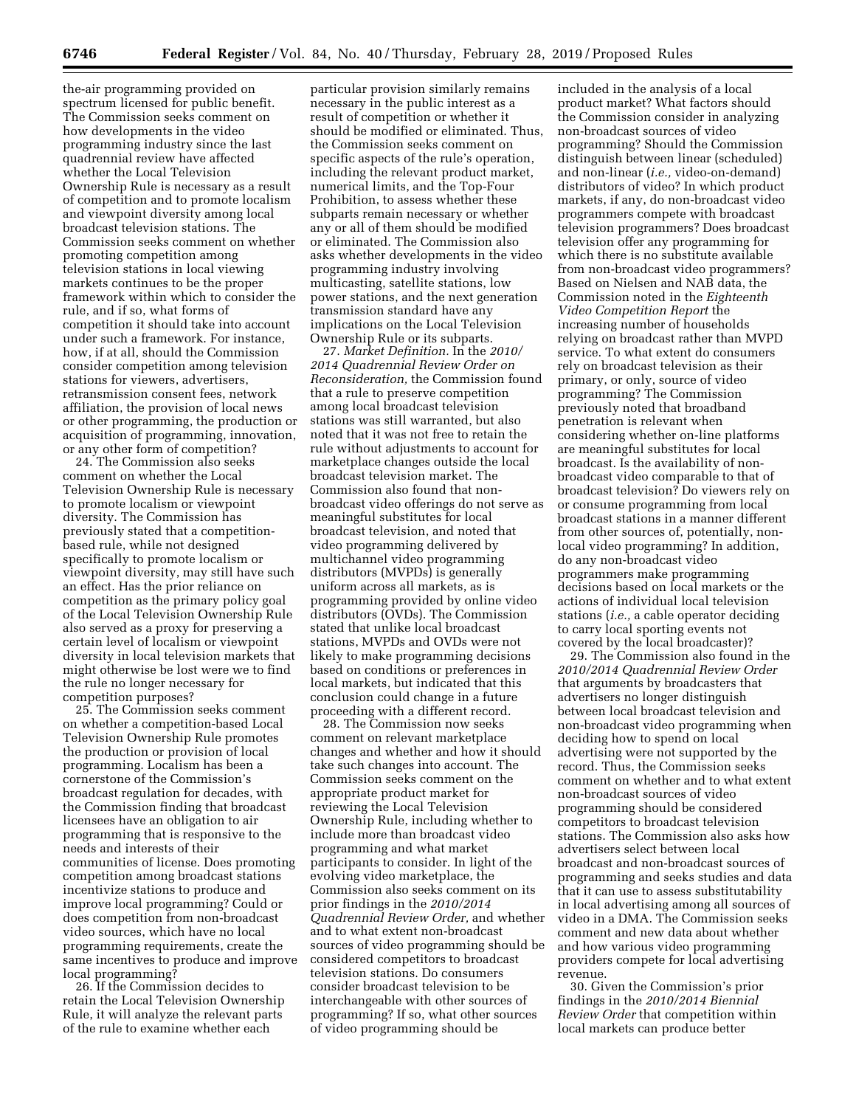the-air programming provided on spectrum licensed for public benefit. The Commission seeks comment on how developments in the video programming industry since the last quadrennial review have affected whether the Local Television Ownership Rule is necessary as a result of competition and to promote localism and viewpoint diversity among local broadcast television stations. The Commission seeks comment on whether promoting competition among television stations in local viewing markets continues to be the proper framework within which to consider the rule, and if so, what forms of competition it should take into account under such a framework. For instance, how, if at all, should the Commission consider competition among television stations for viewers, advertisers, retransmission consent fees, network affiliation, the provision of local news or other programming, the production or acquisition of programming, innovation, or any other form of competition?

24. The Commission also seeks comment on whether the Local Television Ownership Rule is necessary to promote localism or viewpoint diversity. The Commission has previously stated that a competitionbased rule, while not designed specifically to promote localism or viewpoint diversity, may still have such an effect. Has the prior reliance on competition as the primary policy goal of the Local Television Ownership Rule also served as a proxy for preserving a certain level of localism or viewpoint diversity in local television markets that might otherwise be lost were we to find the rule no longer necessary for competition purposes?

25. The Commission seeks comment on whether a competition-based Local Television Ownership Rule promotes the production or provision of local programming. Localism has been a cornerstone of the Commission's broadcast regulation for decades, with the Commission finding that broadcast licensees have an obligation to air programming that is responsive to the needs and interests of their communities of license. Does promoting competition among broadcast stations incentivize stations to produce and improve local programming? Could or does competition from non-broadcast video sources, which have no local programming requirements, create the same incentives to produce and improve local programming?

26. If the Commission decides to retain the Local Television Ownership Rule, it will analyze the relevant parts of the rule to examine whether each

particular provision similarly remains necessary in the public interest as a result of competition or whether it should be modified or eliminated. Thus, the Commission seeks comment on specific aspects of the rule's operation, including the relevant product market, numerical limits, and the Top-Four Prohibition, to assess whether these subparts remain necessary or whether any or all of them should be modified or eliminated. The Commission also asks whether developments in the video programming industry involving multicasting, satellite stations, low power stations, and the next generation transmission standard have any implications on the Local Television Ownership Rule or its subparts.

27. *Market Definition.* In the *2010/ 2014 Quadrennial Review Order on Reconsideration,* the Commission found that a rule to preserve competition among local broadcast television stations was still warranted, but also noted that it was not free to retain the rule without adjustments to account for marketplace changes outside the local broadcast television market. The Commission also found that nonbroadcast video offerings do not serve as meaningful substitutes for local broadcast television, and noted that video programming delivered by multichannel video programming distributors (MVPDs) is generally uniform across all markets, as is programming provided by online video distributors (OVDs). The Commission stated that unlike local broadcast stations, MVPDs and OVDs were not likely to make programming decisions based on conditions or preferences in local markets, but indicated that this conclusion could change in a future proceeding with a different record.

28. The Commission now seeks comment on relevant marketplace changes and whether and how it should take such changes into account. The Commission seeks comment on the appropriate product market for reviewing the Local Television Ownership Rule, including whether to include more than broadcast video programming and what market participants to consider. In light of the evolving video marketplace, the Commission also seeks comment on its prior findings in the *2010/2014 Quadrennial Review Order,* and whether and to what extent non-broadcast sources of video programming should be considered competitors to broadcast television stations. Do consumers consider broadcast television to be interchangeable with other sources of programming? If so, what other sources of video programming should be

included in the analysis of a local product market? What factors should the Commission consider in analyzing non-broadcast sources of video programming? Should the Commission distinguish between linear (scheduled) and non-linear (*i.e.,* video-on-demand) distributors of video? In which product markets, if any, do non-broadcast video programmers compete with broadcast television programmers? Does broadcast television offer any programming for which there is no substitute available from non-broadcast video programmers? Based on Nielsen and NAB data, the Commission noted in the *Eighteenth Video Competition Report* the increasing number of households relying on broadcast rather than MVPD service. To what extent do consumers rely on broadcast television as their primary, or only, source of video programming? The Commission previously noted that broadband penetration is relevant when considering whether on-line platforms are meaningful substitutes for local broadcast. Is the availability of nonbroadcast video comparable to that of broadcast television? Do viewers rely on or consume programming from local broadcast stations in a manner different from other sources of, potentially, nonlocal video programming? In addition, do any non-broadcast video programmers make programming decisions based on local markets or the actions of individual local television stations (*i.e.,* a cable operator deciding to carry local sporting events not covered by the local broadcaster)?

29. The Commission also found in the *2010/2014 Quadrennial Review Order*  that arguments by broadcasters that advertisers no longer distinguish between local broadcast television and non-broadcast video programming when deciding how to spend on local advertising were not supported by the record. Thus, the Commission seeks comment on whether and to what extent non-broadcast sources of video programming should be considered competitors to broadcast television stations. The Commission also asks how advertisers select between local broadcast and non-broadcast sources of programming and seeks studies and data that it can use to assess substitutability in local advertising among all sources of video in a DMA. The Commission seeks comment and new data about whether and how various video programming providers compete for local advertising revenue.

30. Given the Commission's prior findings in the *2010/2014 Biennial Review Order* that competition within local markets can produce better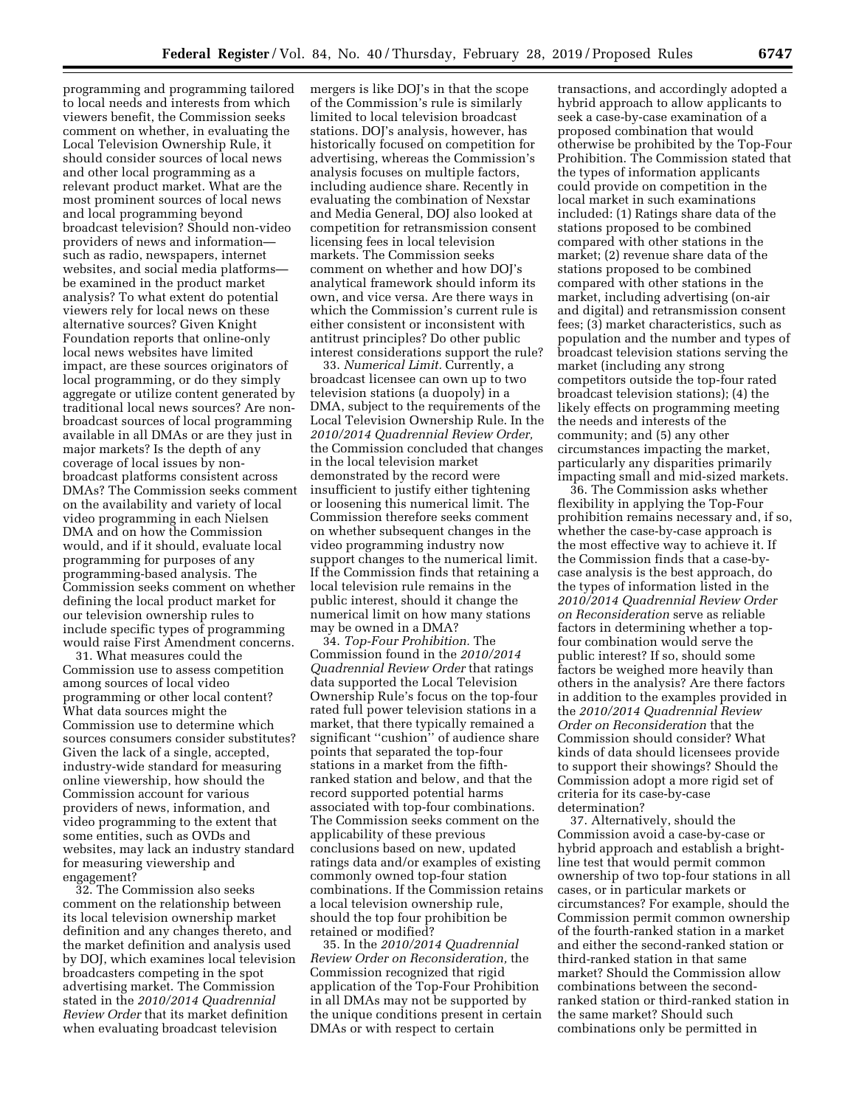programming and programming tailored to local needs and interests from which viewers benefit, the Commission seeks comment on whether, in evaluating the Local Television Ownership Rule, it should consider sources of local news and other local programming as a relevant product market. What are the most prominent sources of local news and local programming beyond broadcast television? Should non-video providers of news and information such as radio, newspapers, internet websites, and social media platforms be examined in the product market analysis? To what extent do potential viewers rely for local news on these alternative sources? Given Knight Foundation reports that online-only local news websites have limited impact, are these sources originators of local programming, or do they simply aggregate or utilize content generated by traditional local news sources? Are nonbroadcast sources of local programming available in all DMAs or are they just in major markets? Is the depth of any coverage of local issues by nonbroadcast platforms consistent across DMAs? The Commission seeks comment on the availability and variety of local video programming in each Nielsen DMA and on how the Commission would, and if it should, evaluate local programming for purposes of any programming-based analysis. The Commission seeks comment on whether defining the local product market for our television ownership rules to include specific types of programming would raise First Amendment concerns.

31. What measures could the Commission use to assess competition among sources of local video programming or other local content? What data sources might the Commission use to determine which sources consumers consider substitutes? Given the lack of a single, accepted, industry-wide standard for measuring online viewership, how should the Commission account for various providers of news, information, and video programming to the extent that some entities, such as OVDs and websites, may lack an industry standard for measuring viewership and engagement?

32. The Commission also seeks comment on the relationship between its local television ownership market definition and any changes thereto, and the market definition and analysis used by DOJ, which examines local television broadcasters competing in the spot advertising market. The Commission stated in the *2010/2014 Quadrennial Review Order* that its market definition when evaluating broadcast television

mergers is like DOJ's in that the scope of the Commission's rule is similarly limited to local television broadcast stations. DOJ's analysis, however, has historically focused on competition for advertising, whereas the Commission's analysis focuses on multiple factors, including audience share. Recently in evaluating the combination of Nexstar and Media General, DOJ also looked at competition for retransmission consent licensing fees in local television markets. The Commission seeks comment on whether and how DOJ's analytical framework should inform its own, and vice versa. Are there ways in which the Commission's current rule is either consistent or inconsistent with antitrust principles? Do other public interest considerations support the rule?

33. *Numerical Limit.* Currently, a broadcast licensee can own up to two television stations (a duopoly) in a DMA, subject to the requirements of the Local Television Ownership Rule. In the *2010/2014 Quadrennial Review Order,*  the Commission concluded that changes in the local television market demonstrated by the record were insufficient to justify either tightening or loosening this numerical limit. The Commission therefore seeks comment on whether subsequent changes in the video programming industry now support changes to the numerical limit. If the Commission finds that retaining a local television rule remains in the public interest, should it change the numerical limit on how many stations may be owned in a DMA?

34. *Top-Four Prohibition.* The Commission found in the *2010/2014 Quadrennial Review Order* that ratings data supported the Local Television Ownership Rule's focus on the top-four rated full power television stations in a market, that there typically remained a significant ''cushion'' of audience share points that separated the top-four stations in a market from the fifthranked station and below, and that the record supported potential harms associated with top-four combinations. The Commission seeks comment on the applicability of these previous conclusions based on new, updated ratings data and/or examples of existing commonly owned top-four station combinations. If the Commission retains a local television ownership rule, should the top four prohibition be retained or modified?

35. In the *2010/2014 Quadrennial Review Order on Reconsideration,* the Commission recognized that rigid application of the Top-Four Prohibition in all DMAs may not be supported by the unique conditions present in certain DMAs or with respect to certain

transactions, and accordingly adopted a hybrid approach to allow applicants to seek a case-by-case examination of a proposed combination that would otherwise be prohibited by the Top-Four Prohibition. The Commission stated that the types of information applicants could provide on competition in the local market in such examinations included: (1) Ratings share data of the stations proposed to be combined compared with other stations in the market; (2) revenue share data of the stations proposed to be combined compared with other stations in the market, including advertising (on-air and digital) and retransmission consent fees; (3) market characteristics, such as population and the number and types of broadcast television stations serving the market (including any strong competitors outside the top-four rated broadcast television stations); (4) the likely effects on programming meeting the needs and interests of the community; and (5) any other circumstances impacting the market, particularly any disparities primarily impacting small and mid-sized markets.

36. The Commission asks whether flexibility in applying the Top-Four prohibition remains necessary and, if so, whether the case-by-case approach is the most effective way to achieve it. If the Commission finds that a case-bycase analysis is the best approach, do the types of information listed in the *2010/2014 Quadrennial Review Order on Reconsideration* serve as reliable factors in determining whether a topfour combination would serve the public interest? If so, should some factors be weighed more heavily than others in the analysis? Are there factors in addition to the examples provided in the *2010/2014 Quadrennial Review Order on Reconsideration* that the Commission should consider? What kinds of data should licensees provide to support their showings? Should the Commission adopt a more rigid set of criteria for its case-by-case determination?

37. Alternatively, should the Commission avoid a case-by-case or hybrid approach and establish a brightline test that would permit common ownership of two top-four stations in all cases, or in particular markets or circumstances? For example, should the Commission permit common ownership of the fourth-ranked station in a market and either the second-ranked station or third-ranked station in that same market? Should the Commission allow combinations between the secondranked station or third-ranked station in the same market? Should such combinations only be permitted in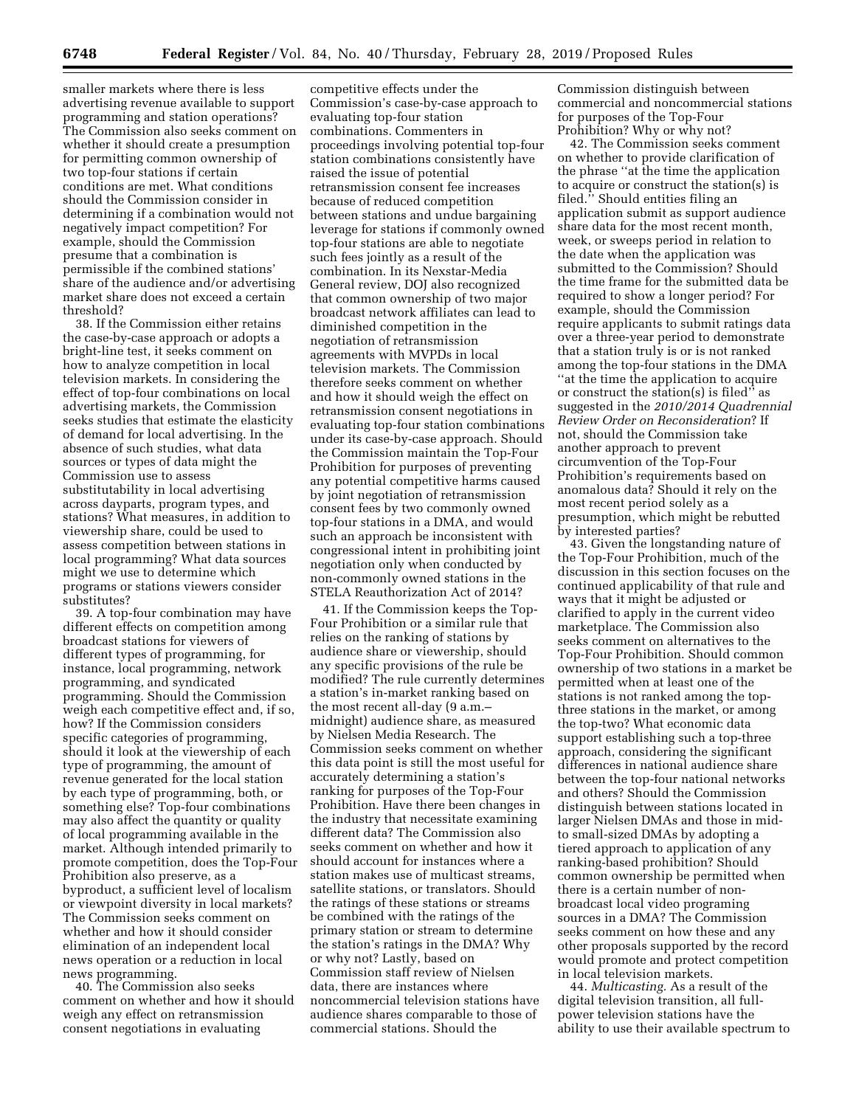smaller markets where there is less advertising revenue available to support programming and station operations? The Commission also seeks comment on whether it should create a presumption for permitting common ownership of two top-four stations if certain conditions are met. What conditions should the Commission consider in determining if a combination would not negatively impact competition? For example, should the Commission presume that a combination is permissible if the combined stations' share of the audience and/or advertising market share does not exceed a certain threshold?

38. If the Commission either retains the case-by-case approach or adopts a bright-line test, it seeks comment on how to analyze competition in local television markets. In considering the effect of top-four combinations on local advertising markets, the Commission seeks studies that estimate the elasticity of demand for local advertising. In the absence of such studies, what data sources or types of data might the Commission use to assess substitutability in local advertising across dayparts, program types, and stations? What measures, in addition to viewership share, could be used to assess competition between stations in local programming? What data sources might we use to determine which programs or stations viewers consider substitutes?

39. A top-four combination may have different effects on competition among broadcast stations for viewers of different types of programming, for instance, local programming, network programming, and syndicated programming. Should the Commission weigh each competitive effect and, if so, how? If the Commission considers specific categories of programming, should it look at the viewership of each type of programming, the amount of revenue generated for the local station by each type of programming, both, or something else? Top-four combinations may also affect the quantity or quality of local programming available in the market. Although intended primarily to promote competition, does the Top-Four Prohibition also preserve, as a byproduct, a sufficient level of localism or viewpoint diversity in local markets? The Commission seeks comment on whether and how it should consider elimination of an independent local news operation or a reduction in local news programming.

40. The Commission also seeks comment on whether and how it should weigh any effect on retransmission consent negotiations in evaluating

competitive effects under the Commission's case-by-case approach to evaluating top-four station combinations. Commenters in proceedings involving potential top-four station combinations consistently have raised the issue of potential retransmission consent fee increases because of reduced competition between stations and undue bargaining leverage for stations if commonly owned top-four stations are able to negotiate such fees jointly as a result of the combination. In its Nexstar-Media General review, DOJ also recognized that common ownership of two major broadcast network affiliates can lead to diminished competition in the negotiation of retransmission agreements with MVPDs in local television markets. The Commission therefore seeks comment on whether and how it should weigh the effect on retransmission consent negotiations in evaluating top-four station combinations under its case-by-case approach. Should the Commission maintain the Top-Four Prohibition for purposes of preventing any potential competitive harms caused by joint negotiation of retransmission consent fees by two commonly owned top-four stations in a DMA, and would such an approach be inconsistent with congressional intent in prohibiting joint negotiation only when conducted by non-commonly owned stations in the STELA Reauthorization Act of 2014?

41. If the Commission keeps the Top-Four Prohibition or a similar rule that relies on the ranking of stations by audience share or viewership, should any specific provisions of the rule be modified? The rule currently determines a station's in-market ranking based on the most recent all-day (9 a.m.– midnight) audience share, as measured by Nielsen Media Research. The Commission seeks comment on whether this data point is still the most useful for accurately determining a station's ranking for purposes of the Top-Four Prohibition. Have there been changes in the industry that necessitate examining different data? The Commission also seeks comment on whether and how it should account for instances where a station makes use of multicast streams, satellite stations, or translators. Should the ratings of these stations or streams be combined with the ratings of the primary station or stream to determine the station's ratings in the DMA? Why or why not? Lastly, based on Commission staff review of Nielsen data, there are instances where noncommercial television stations have audience shares comparable to those of commercial stations. Should the

Commission distinguish between commercial and noncommercial stations for purposes of the Top-Four Prohibition? Why or why not?

42. The Commission seeks comment on whether to provide clarification of the phrase ''at the time the application to acquire or construct the station(s) is filed.'' Should entities filing an application submit as support audience share data for the most recent month, week, or sweeps period in relation to the date when the application was submitted to the Commission? Should the time frame for the submitted data be required to show a longer period? For example, should the Commission require applicants to submit ratings data over a three-year period to demonstrate that a station truly is or is not ranked among the top-four stations in the DMA ''at the time the application to acquire or construct the station(s) is filed'' as suggested in the *2010/2014 Quadrennial Review Order on Reconsideration*? If not, should the Commission take another approach to prevent circumvention of the Top-Four Prohibition's requirements based on anomalous data? Should it rely on the most recent period solely as a presumption, which might be rebutted by interested parties?

43. Given the longstanding nature of the Top-Four Prohibition, much of the discussion in this section focuses on the continued applicability of that rule and ways that it might be adjusted or clarified to apply in the current video marketplace. The Commission also seeks comment on alternatives to the Top-Four Prohibition. Should common ownership of two stations in a market be permitted when at least one of the stations is not ranked among the topthree stations in the market, or among the top-two? What economic data support establishing such a top-three approach, considering the significant differences in national audience share between the top-four national networks and others? Should the Commission distinguish between stations located in larger Nielsen DMAs and those in midto small-sized DMAs by adopting a tiered approach to application of any ranking-based prohibition? Should common ownership be permitted when there is a certain number of nonbroadcast local video programing sources in a DMA? The Commission seeks comment on how these and any other proposals supported by the record would promote and protect competition in local television markets.

44. *Multicasting.* As a result of the digital television transition, all fullpower television stations have the ability to use their available spectrum to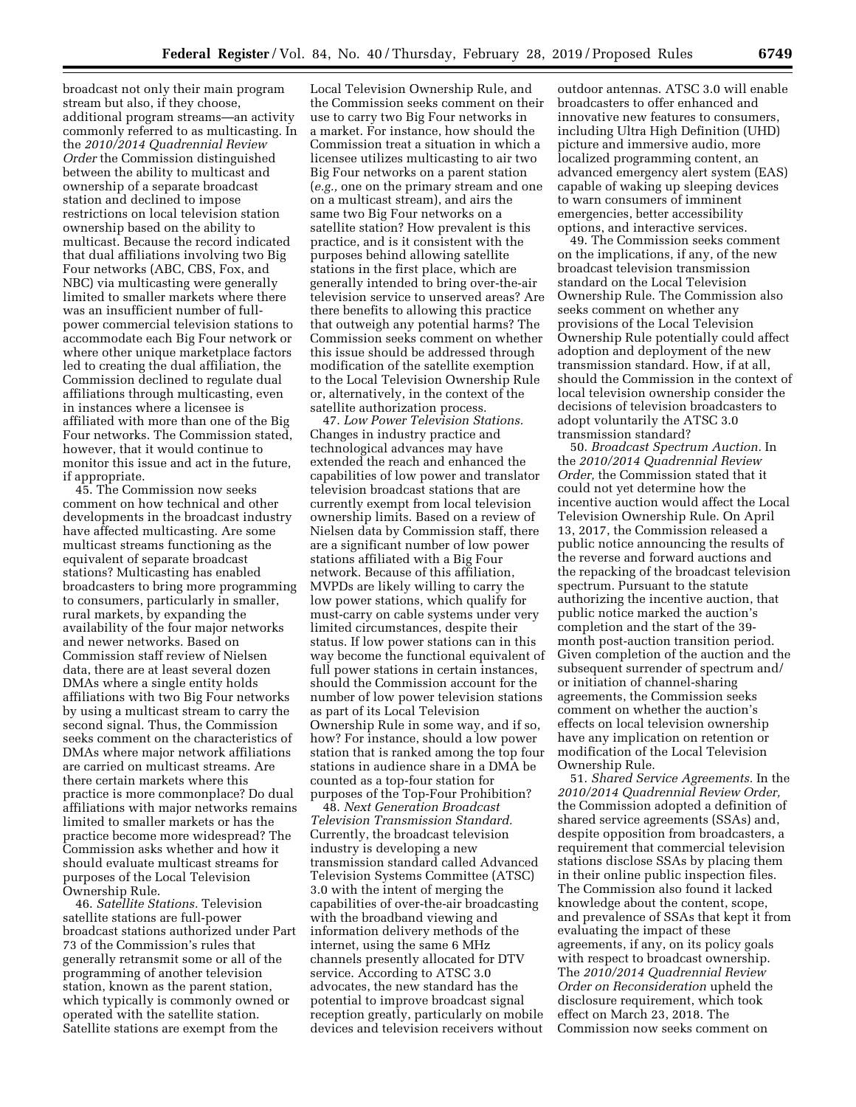broadcast not only their main program stream but also, if they choose, additional program streams—an activity commonly referred to as multicasting. In the *2010/2014 Quadrennial Review Order* the Commission distinguished between the ability to multicast and ownership of a separate broadcast station and declined to impose restrictions on local television station ownership based on the ability to multicast. Because the record indicated that dual affiliations involving two Big Four networks (ABC, CBS, Fox, and NBC) via multicasting were generally limited to smaller markets where there was an insufficient number of fullpower commercial television stations to accommodate each Big Four network or where other unique marketplace factors led to creating the dual affiliation, the Commission declined to regulate dual affiliations through multicasting, even in instances where a licensee is affiliated with more than one of the Big Four networks. The Commission stated, however, that it would continue to monitor this issue and act in the future, if appropriate.

45. The Commission now seeks comment on how technical and other developments in the broadcast industry have affected multicasting. Are some multicast streams functioning as the equivalent of separate broadcast stations? Multicasting has enabled broadcasters to bring more programming to consumers, particularly in smaller, rural markets, by expanding the availability of the four major networks and newer networks. Based on Commission staff review of Nielsen data, there are at least several dozen DMAs where a single entity holds affiliations with two Big Four networks by using a multicast stream to carry the second signal. Thus, the Commission seeks comment on the characteristics of DMAs where major network affiliations are carried on multicast streams. Are there certain markets where this practice is more commonplace? Do dual affiliations with major networks remains limited to smaller markets or has the practice become more widespread? The Commission asks whether and how it should evaluate multicast streams for purposes of the Local Television Ownership Rule.

46. *Satellite Stations.* Television satellite stations are full-power broadcast stations authorized under Part 73 of the Commission's rules that generally retransmit some or all of the programming of another television station, known as the parent station, which typically is commonly owned or operated with the satellite station. Satellite stations are exempt from the

Local Television Ownership Rule, and the Commission seeks comment on their use to carry two Big Four networks in a market. For instance, how should the Commission treat a situation in which a licensee utilizes multicasting to air two Big Four networks on a parent station (*e.g.,* one on the primary stream and one on a multicast stream), and airs the same two Big Four networks on a satellite station? How prevalent is this practice, and is it consistent with the purposes behind allowing satellite stations in the first place, which are generally intended to bring over-the-air television service to unserved areas? Are there benefits to allowing this practice that outweigh any potential harms? The Commission seeks comment on whether this issue should be addressed through modification of the satellite exemption to the Local Television Ownership Rule or, alternatively, in the context of the satellite authorization process.

47. *Low Power Television Stations.*  Changes in industry practice and technological advances may have extended the reach and enhanced the capabilities of low power and translator television broadcast stations that are currently exempt from local television ownership limits. Based on a review of Nielsen data by Commission staff, there are a significant number of low power stations affiliated with a Big Four network. Because of this affiliation, MVPDs are likely willing to carry the low power stations, which qualify for must-carry on cable systems under very limited circumstances, despite their status. If low power stations can in this way become the functional equivalent of full power stations in certain instances, should the Commission account for the number of low power television stations as part of its Local Television Ownership Rule in some way, and if so, how? For instance, should a low power station that is ranked among the top four stations in audience share in a DMA be counted as a top-four station for purposes of the Top-Four Prohibition?

48. *Next Generation Broadcast Television Transmission Standard.*  Currently, the broadcast television industry is developing a new transmission standard called Advanced Television Systems Committee (ATSC) 3.0 with the intent of merging the capabilities of over-the-air broadcasting with the broadband viewing and information delivery methods of the internet, using the same 6 MHz channels presently allocated for DTV service. According to ATSC 3.0 advocates, the new standard has the potential to improve broadcast signal reception greatly, particularly on mobile devices and television receivers without

outdoor antennas. ATSC 3.0 will enable broadcasters to offer enhanced and innovative new features to consumers, including Ultra High Definition (UHD) picture and immersive audio, more localized programming content, an advanced emergency alert system (EAS) capable of waking up sleeping devices to warn consumers of imminent emergencies, better accessibility options, and interactive services.

49. The Commission seeks comment on the implications, if any, of the new broadcast television transmission standard on the Local Television Ownership Rule. The Commission also seeks comment on whether any provisions of the Local Television Ownership Rule potentially could affect adoption and deployment of the new transmission standard. How, if at all, should the Commission in the context of local television ownership consider the decisions of television broadcasters to adopt voluntarily the ATSC 3.0 transmission standard?

50. *Broadcast Spectrum Auction.* In the *2010/2014 Quadrennial Review Order,* the Commission stated that it could not yet determine how the incentive auction would affect the Local Television Ownership Rule. On April 13, 2017, the Commission released a public notice announcing the results of the reverse and forward auctions and the repacking of the broadcast television spectrum. Pursuant to the statute authorizing the incentive auction, that public notice marked the auction's completion and the start of the 39 month post-auction transition period. Given completion of the auction and the subsequent surrender of spectrum and/ or initiation of channel-sharing agreements, the Commission seeks comment on whether the auction's effects on local television ownership have any implication on retention or modification of the Local Television Ownership Rule.

51. *Shared Service Agreements.* In the *2010/2014 Quadrennial Review Order,*  the Commission adopted a definition of shared service agreements (SSAs) and, despite opposition from broadcasters, a requirement that commercial television stations disclose SSAs by placing them in their online public inspection files. The Commission also found it lacked knowledge about the content, scope, and prevalence of SSAs that kept it from evaluating the impact of these agreements, if any, on its policy goals with respect to broadcast ownership. The *2010/2014 Quadrennial Review Order on Reconsideration* upheld the disclosure requirement, which took effect on March 23, 2018. The Commission now seeks comment on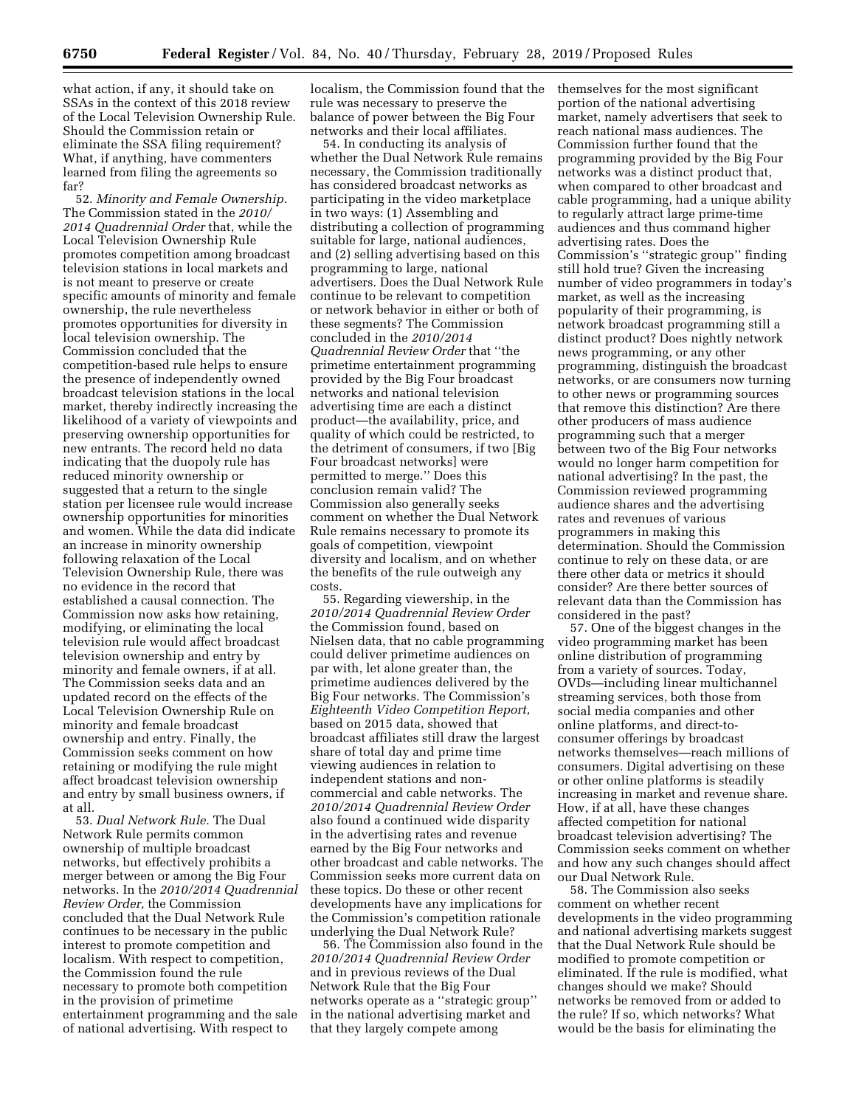what action, if any, it should take on SSAs in the context of this 2018 review of the Local Television Ownership Rule. Should the Commission retain or eliminate the SSA filing requirement? What, if anything, have commenters learned from filing the agreements so far?

52. *Minority and Female Ownership.*  The Commission stated in the *2010/ 2014 Quadrennial Order* that, while the Local Television Ownership Rule promotes competition among broadcast television stations in local markets and is not meant to preserve or create specific amounts of minority and female ownership, the rule nevertheless promotes opportunities for diversity in local television ownership. The Commission concluded that the competition-based rule helps to ensure the presence of independently owned broadcast television stations in the local market, thereby indirectly increasing the likelihood of a variety of viewpoints and preserving ownership opportunities for new entrants. The record held no data indicating that the duopoly rule has reduced minority ownership or suggested that a return to the single station per licensee rule would increase ownership opportunities for minorities and women. While the data did indicate an increase in minority ownership following relaxation of the Local Television Ownership Rule, there was no evidence in the record that established a causal connection. The Commission now asks how retaining, modifying, or eliminating the local television rule would affect broadcast television ownership and entry by minority and female owners, if at all. The Commission seeks data and an updated record on the effects of the Local Television Ownership Rule on minority and female broadcast ownership and entry. Finally, the Commission seeks comment on how retaining or modifying the rule might affect broadcast television ownership and entry by small business owners, if at all.

53. *Dual Network Rule.* The Dual Network Rule permits common ownership of multiple broadcast networks, but effectively prohibits a merger between or among the Big Four networks. In the *2010/2014 Quadrennial Review Order,* the Commission concluded that the Dual Network Rule continues to be necessary in the public interest to promote competition and localism. With respect to competition, the Commission found the rule necessary to promote both competition in the provision of primetime entertainment programming and the sale of national advertising. With respect to

localism, the Commission found that the rule was necessary to preserve the balance of power between the Big Four networks and their local affiliates.

54. In conducting its analysis of whether the Dual Network Rule remains necessary, the Commission traditionally has considered broadcast networks as participating in the video marketplace in two ways: (1) Assembling and distributing a collection of programming suitable for large, national audiences, and (2) selling advertising based on this programming to large, national advertisers. Does the Dual Network Rule continue to be relevant to competition or network behavior in either or both of these segments? The Commission concluded in the *2010/2014 Quadrennial Review Order* that ''the primetime entertainment programming provided by the Big Four broadcast networks and national television advertising time are each a distinct product—the availability, price, and quality of which could be restricted, to the detriment of consumers, if two [Big Four broadcast networks] were permitted to merge.'' Does this conclusion remain valid? The Commission also generally seeks comment on whether the Dual Network Rule remains necessary to promote its goals of competition, viewpoint diversity and localism, and on whether the benefits of the rule outweigh any costs.

55. Regarding viewership, in the *2010/2014 Quadrennial Review Order*  the Commission found, based on Nielsen data, that no cable programming could deliver primetime audiences on par with, let alone greater than, the primetime audiences delivered by the Big Four networks. The Commission's *Eighteenth Video Competition Report,*  based on 2015 data, showed that broadcast affiliates still draw the largest share of total day and prime time viewing audiences in relation to independent stations and noncommercial and cable networks. The *2010/2014 Quadrennial Review Order*  also found a continued wide disparity in the advertising rates and revenue earned by the Big Four networks and other broadcast and cable networks. The Commission seeks more current data on these topics. Do these or other recent developments have any implications for the Commission's competition rationale underlying the Dual Network Rule?

56. The Commission also found in the *2010/2014 Quadrennial Review Order*  and in previous reviews of the Dual Network Rule that the Big Four networks operate as a ''strategic group'' in the national advertising market and that they largely compete among

themselves for the most significant portion of the national advertising market, namely advertisers that seek to reach national mass audiences. The Commission further found that the programming provided by the Big Four networks was a distinct product that, when compared to other broadcast and cable programming, had a unique ability to regularly attract large prime-time audiences and thus command higher advertising rates. Does the Commission's ''strategic group'' finding still hold true? Given the increasing number of video programmers in today's market, as well as the increasing popularity of their programming, is network broadcast programming still a distinct product? Does nightly network news programming, or any other programming, distinguish the broadcast networks, or are consumers now turning to other news or programming sources that remove this distinction? Are there other producers of mass audience programming such that a merger between two of the Big Four networks would no longer harm competition for national advertising? In the past, the Commission reviewed programming audience shares and the advertising rates and revenues of various programmers in making this determination. Should the Commission continue to rely on these data, or are there other data or metrics it should consider? Are there better sources of relevant data than the Commission has considered in the past?

57. One of the biggest changes in the video programming market has been online distribution of programming from a variety of sources. Today, OVDs—including linear multichannel streaming services, both those from social media companies and other online platforms, and direct-toconsumer offerings by broadcast networks themselves—reach millions of consumers. Digital advertising on these or other online platforms is steadily increasing in market and revenue share. How, if at all, have these changes affected competition for national broadcast television advertising? The Commission seeks comment on whether and how any such changes should affect our Dual Network Rule.

58. The Commission also seeks comment on whether recent developments in the video programming and national advertising markets suggest that the Dual Network Rule should be modified to promote competition or eliminated. If the rule is modified, what changes should we make? Should networks be removed from or added to the rule? If so, which networks? What would be the basis for eliminating the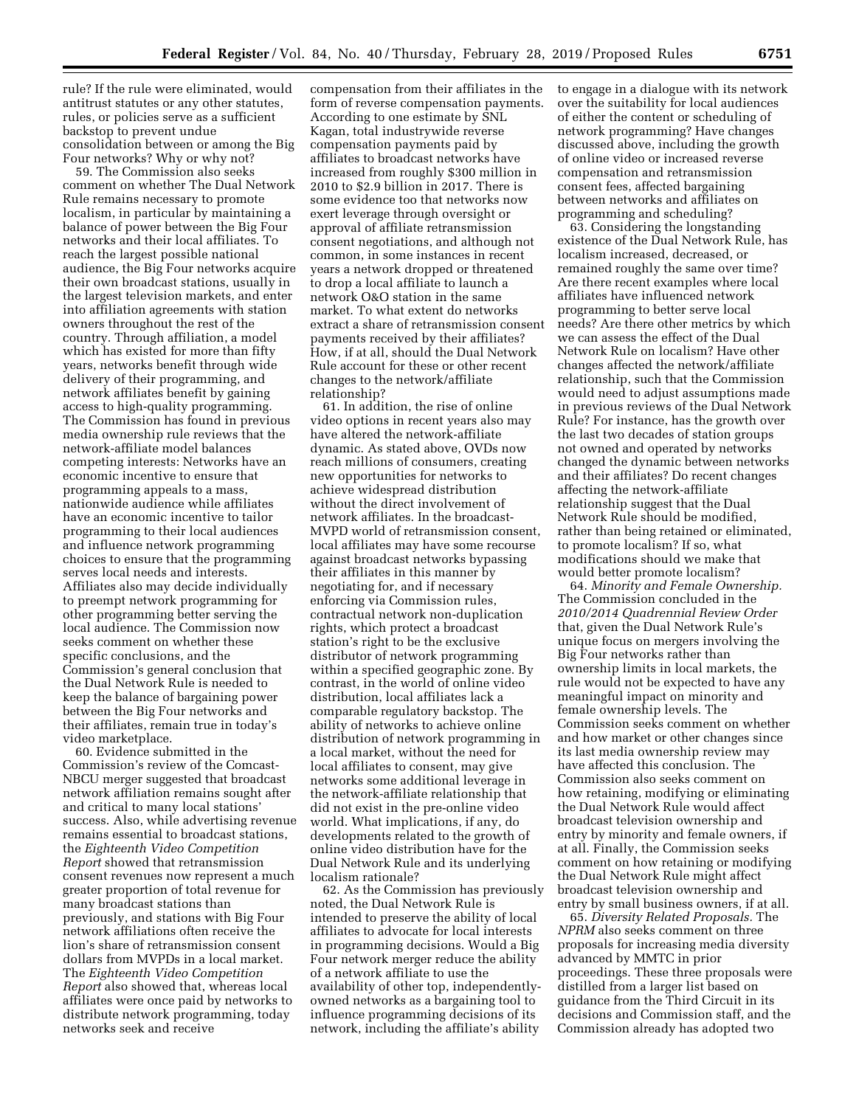rule? If the rule were eliminated, would antitrust statutes or any other statutes, rules, or policies serve as a sufficient backstop to prevent undue consolidation between or among the Big Four networks? Why or why not?

59. The Commission also seeks comment on whether The Dual Network Rule remains necessary to promote localism, in particular by maintaining a balance of power between the Big Four networks and their local affiliates. To reach the largest possible national audience, the Big Four networks acquire their own broadcast stations, usually in the largest television markets, and enter into affiliation agreements with station owners throughout the rest of the country. Through affiliation, a model which has existed for more than fifty years, networks benefit through wide delivery of their programming, and network affiliates benefit by gaining access to high-quality programming. The Commission has found in previous media ownership rule reviews that the network-affiliate model balances competing interests: Networks have an economic incentive to ensure that programming appeals to a mass, nationwide audience while affiliates have an economic incentive to tailor programming to their local audiences and influence network programming choices to ensure that the programming serves local needs and interests. Affiliates also may decide individually to preempt network programming for other programming better serving the local audience. The Commission now seeks comment on whether these specific conclusions, and the Commission's general conclusion that the Dual Network Rule is needed to keep the balance of bargaining power between the Big Four networks and their affiliates, remain true in today's video marketplace.

60. Evidence submitted in the Commission's review of the Comcast-NBCU merger suggested that broadcast network affiliation remains sought after and critical to many local stations' success. Also, while advertising revenue remains essential to broadcast stations, the *Eighteenth Video Competition Report* showed that retransmission consent revenues now represent a much greater proportion of total revenue for many broadcast stations than previously, and stations with Big Four network affiliations often receive the lion's share of retransmission consent dollars from MVPDs in a local market. The *Eighteenth Video Competition Report* also showed that, whereas local affiliates were once paid by networks to distribute network programming, today networks seek and receive

compensation from their affiliates in the form of reverse compensation payments. According to one estimate by SNL Kagan, total industrywide reverse compensation payments paid by affiliates to broadcast networks have increased from roughly \$300 million in 2010 to \$2.9 billion in 2017. There is some evidence too that networks now exert leverage through oversight or approval of affiliate retransmission consent negotiations, and although not common, in some instances in recent years a network dropped or threatened to drop a local affiliate to launch a network O&O station in the same market. To what extent do networks extract a share of retransmission consent payments received by their affiliates? How, if at all, should the Dual Network Rule account for these or other recent changes to the network/affiliate relationship?

61. In addition, the rise of online video options in recent years also may have altered the network-affiliate dynamic. As stated above, OVDs now reach millions of consumers, creating new opportunities for networks to achieve widespread distribution without the direct involvement of network affiliates. In the broadcast-MVPD world of retransmission consent, local affiliates may have some recourse against broadcast networks bypassing their affiliates in this manner by negotiating for, and if necessary enforcing via Commission rules, contractual network non-duplication rights, which protect a broadcast station's right to be the exclusive distributor of network programming within a specified geographic zone. By contrast, in the world of online video distribution, local affiliates lack a comparable regulatory backstop. The ability of networks to achieve online distribution of network programming in a local market, without the need for local affiliates to consent, may give networks some additional leverage in the network-affiliate relationship that did not exist in the pre-online video world. What implications, if any, do developments related to the growth of online video distribution have for the Dual Network Rule and its underlying localism rationale?

62. As the Commission has previously noted, the Dual Network Rule is intended to preserve the ability of local affiliates to advocate for local interests in programming decisions. Would a Big Four network merger reduce the ability of a network affiliate to use the availability of other top, independentlyowned networks as a bargaining tool to influence programming decisions of its network, including the affiliate's ability

to engage in a dialogue with its network over the suitability for local audiences of either the content or scheduling of network programming? Have changes discussed above, including the growth of online video or increased reverse compensation and retransmission consent fees, affected bargaining between networks and affiliates on programming and scheduling?

63. Considering the longstanding existence of the Dual Network Rule, has localism increased, decreased, or remained roughly the same over time? Are there recent examples where local affiliates have influenced network programming to better serve local needs? Are there other metrics by which we can assess the effect of the Dual Network Rule on localism? Have other changes affected the network/affiliate relationship, such that the Commission would need to adjust assumptions made in previous reviews of the Dual Network Rule? For instance, has the growth over the last two decades of station groups not owned and operated by networks changed the dynamic between networks and their affiliates? Do recent changes affecting the network-affiliate relationship suggest that the Dual Network Rule should be modified, rather than being retained or eliminated, to promote localism? If so, what modifications should we make that would better promote localism?

64. *Minority and Female Ownership.*  The Commission concluded in the *2010/2014 Quadrennial Review Order*  that, given the Dual Network Rule's unique focus on mergers involving the Big Four networks rather than ownership limits in local markets, the rule would not be expected to have any meaningful impact on minority and female ownership levels. The Commission seeks comment on whether and how market or other changes since its last media ownership review may have affected this conclusion. The Commission also seeks comment on how retaining, modifying or eliminating the Dual Network Rule would affect broadcast television ownership and entry by minority and female owners, if at all. Finally, the Commission seeks comment on how retaining or modifying the Dual Network Rule might affect broadcast television ownership and entry by small business owners, if at all.

65. *Diversity Related Proposals.* The *NPRM* also seeks comment on three proposals for increasing media diversity advanced by MMTC in prior proceedings. These three proposals were distilled from a larger list based on guidance from the Third Circuit in its decisions and Commission staff, and the Commission already has adopted two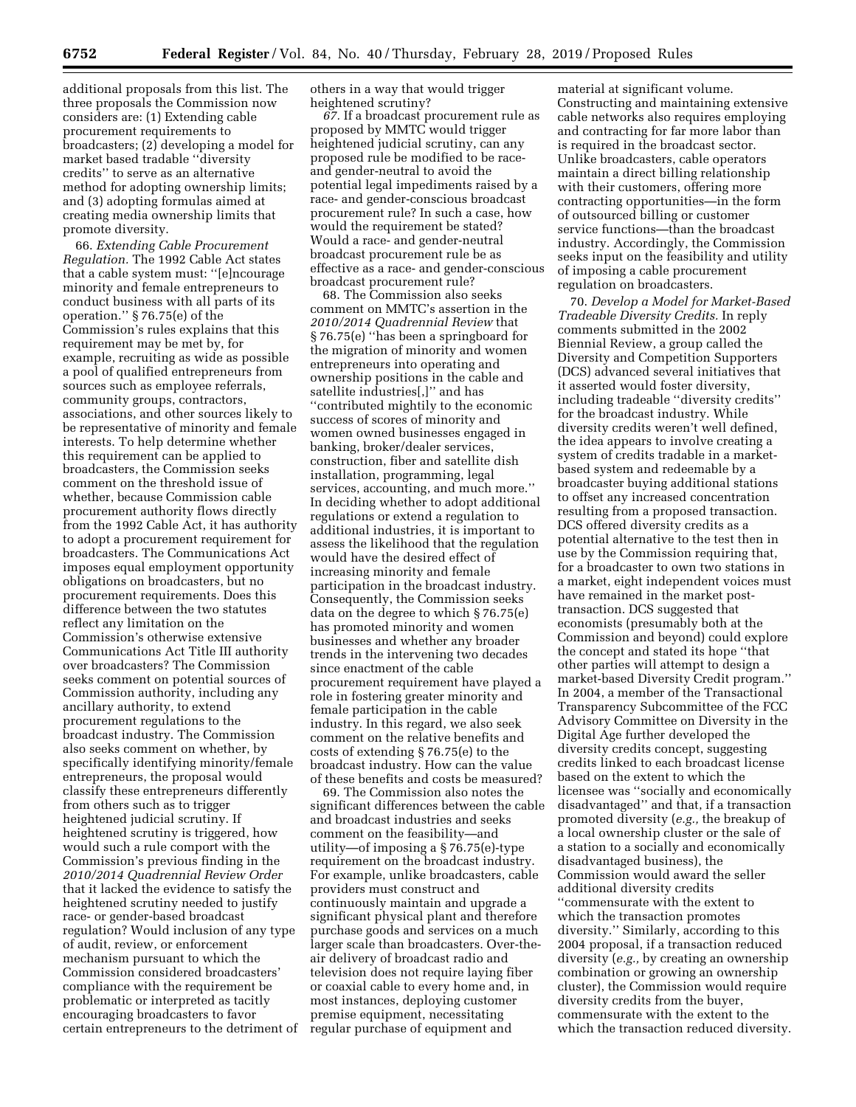additional proposals from this list. The three proposals the Commission now considers are: (1) Extending cable procurement requirements to broadcasters; (2) developing a model for market based tradable ''diversity credits'' to serve as an alternative method for adopting ownership limits; and (3) adopting formulas aimed at creating media ownership limits that promote diversity.

66. *Extending Cable Procurement Regulation.* The 1992 Cable Act states that a cable system must: ''[e]ncourage minority and female entrepreneurs to conduct business with all parts of its operation.'' § 76.75(e) of the Commission's rules explains that this requirement may be met by, for example, recruiting as wide as possible a pool of qualified entrepreneurs from sources such as employee referrals, community groups, contractors, associations, and other sources likely to be representative of minority and female interests. To help determine whether this requirement can be applied to broadcasters, the Commission seeks comment on the threshold issue of whether, because Commission cable procurement authority flows directly from the 1992 Cable Act, it has authority to adopt a procurement requirement for broadcasters. The Communications Act imposes equal employment opportunity obligations on broadcasters, but no procurement requirements. Does this difference between the two statutes reflect any limitation on the Commission's otherwise extensive Communications Act Title III authority over broadcasters? The Commission seeks comment on potential sources of Commission authority, including any ancillary authority, to extend procurement regulations to the broadcast industry. The Commission also seeks comment on whether, by specifically identifying minority/female entrepreneurs, the proposal would classify these entrepreneurs differently from others such as to trigger heightened judicial scrutiny. If heightened scrutiny is triggered, how would such a rule comport with the Commission's previous finding in the *2010/2014 Quadrennial Review Order*  that it lacked the evidence to satisfy the heightened scrutiny needed to justify race- or gender-based broadcast regulation? Would inclusion of any type of audit, review, or enforcement mechanism pursuant to which the Commission considered broadcasters' compliance with the requirement be problematic or interpreted as tacitly encouraging broadcasters to favor certain entrepreneurs to the detriment of others in a way that would trigger heightened scrutiny?

*67.* If a broadcast procurement rule as proposed by MMTC would trigger heightened judicial scrutiny, can any proposed rule be modified to be raceand gender-neutral to avoid the potential legal impediments raised by a race- and gender-conscious broadcast procurement rule? In such a case, how would the requirement be stated? Would a race- and gender-neutral broadcast procurement rule be as effective as a race- and gender-conscious broadcast procurement rule?

68. The Commission also seeks comment on MMTC's assertion in the *2010/2014 Quadrennial Review* that § 76.75(e) ''has been a springboard for the migration of minority and women entrepreneurs into operating and ownership positions in the cable and satellite industries[,]'' and has ''contributed mightily to the economic success of scores of minority and women owned businesses engaged in banking, broker/dealer services, construction, fiber and satellite dish installation, programming, legal services, accounting, and much more.'' In deciding whether to adopt additional regulations or extend a regulation to additional industries, it is important to assess the likelihood that the regulation would have the desired effect of increasing minority and female participation in the broadcast industry. Consequently, the Commission seeks data on the degree to which § 76.75(e) has promoted minority and women businesses and whether any broader trends in the intervening two decades since enactment of the cable procurement requirement have played a role in fostering greater minority and female participation in the cable industry. In this regard, we also seek comment on the relative benefits and costs of extending § 76.75(e) to the broadcast industry. How can the value of these benefits and costs be measured?

69. The Commission also notes the significant differences between the cable and broadcast industries and seeks comment on the feasibility—and utility—of imposing a § 76.75(e)-type requirement on the broadcast industry. For example, unlike broadcasters, cable providers must construct and continuously maintain and upgrade a significant physical plant and therefore purchase goods and services on a much larger scale than broadcasters. Over-theair delivery of broadcast radio and television does not require laying fiber or coaxial cable to every home and, in most instances, deploying customer premise equipment, necessitating regular purchase of equipment and

material at significant volume. Constructing and maintaining extensive cable networks also requires employing and contracting for far more labor than is required in the broadcast sector. Unlike broadcasters, cable operators maintain a direct billing relationship with their customers, offering more contracting opportunities—in the form of outsourced billing or customer service functions—than the broadcast industry. Accordingly, the Commission seeks input on the feasibility and utility of imposing a cable procurement regulation on broadcasters.

70. *Develop a Model for Market-Based Tradeable Diversity Credits.* In reply comments submitted in the 2002 Biennial Review, a group called the Diversity and Competition Supporters (DCS) advanced several initiatives that it asserted would foster diversity, including tradeable ''diversity credits'' for the broadcast industry. While diversity credits weren't well defined, the idea appears to involve creating a system of credits tradable in a marketbased system and redeemable by a broadcaster buying additional stations to offset any increased concentration resulting from a proposed transaction. DCS offered diversity credits as a potential alternative to the test then in use by the Commission requiring that, for a broadcaster to own two stations in a market, eight independent voices must have remained in the market posttransaction. DCS suggested that economists (presumably both at the Commission and beyond) could explore the concept and stated its hope ''that other parties will attempt to design a market-based Diversity Credit program.'' In 2004, a member of the Transactional Transparency Subcommittee of the FCC Advisory Committee on Diversity in the Digital Age further developed the diversity credits concept, suggesting credits linked to each broadcast license based on the extent to which the licensee was ''socially and economically disadvantaged'' and that, if a transaction promoted diversity (*e.g.,* the breakup of a local ownership cluster or the sale of a station to a socially and economically disadvantaged business), the Commission would award the seller additional diversity credits ''commensurate with the extent to which the transaction promotes diversity.'' Similarly, according to this 2004 proposal, if a transaction reduced diversity (*e.g.,* by creating an ownership combination or growing an ownership cluster), the Commission would require diversity credits from the buyer, commensurate with the extent to the which the transaction reduced diversity.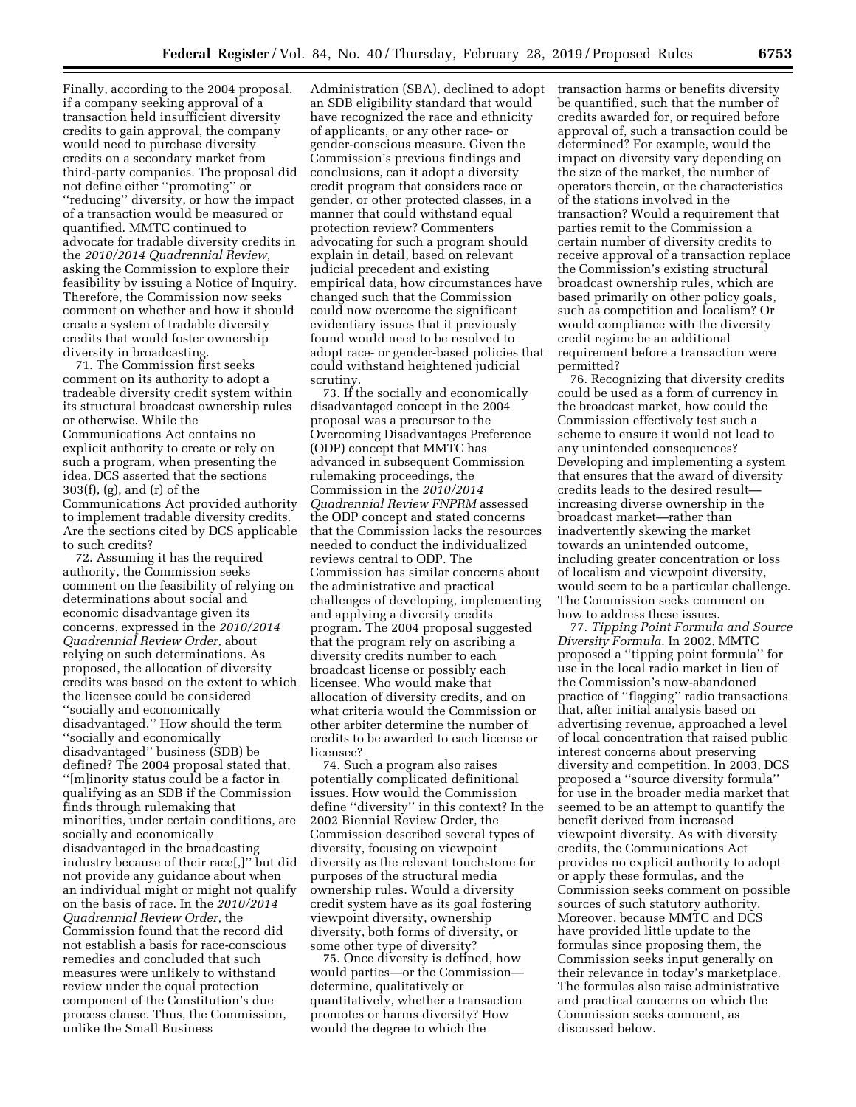Finally, according to the 2004 proposal, if a company seeking approval of a transaction held insufficient diversity credits to gain approval, the company would need to purchase diversity credits on a secondary market from third-party companies. The proposal did not define either ''promoting'' or ''reducing'' diversity, or how the impact of a transaction would be measured or quantified. MMTC continued to advocate for tradable diversity credits in the *2010/2014 Quadrennial Review,*  asking the Commission to explore their feasibility by issuing a Notice of Inquiry. Therefore, the Commission now seeks comment on whether and how it should create a system of tradable diversity credits that would foster ownership diversity in broadcasting.

71. The Commission first seeks comment on its authority to adopt a tradeable diversity credit system within its structural broadcast ownership rules or otherwise. While the Communications Act contains no explicit authority to create or rely on such a program, when presenting the idea, DCS asserted that the sections 303(f), (g), and (r) of the Communications Act provided authority to implement tradable diversity credits. Are the sections cited by DCS applicable to such credits?

72. Assuming it has the required authority, the Commission seeks comment on the feasibility of relying on determinations about social and economic disadvantage given its concerns, expressed in the *2010/2014 Quadrennial Review Order,* about relying on such determinations. As proposed, the allocation of diversity credits was based on the extent to which the licensee could be considered ''socially and economically disadvantaged.'' How should the term ''socially and economically disadvantaged'' business (SDB) be defined? The 2004 proposal stated that, ''[m]inority status could be a factor in qualifying as an SDB if the Commission finds through rulemaking that minorities, under certain conditions, are socially and economically disadvantaged in the broadcasting industry because of their race[,]'' but did not provide any guidance about when an individual might or might not qualify on the basis of race. In the *2010/2014 Quadrennial Review Order,* the Commission found that the record did not establish a basis for race-conscious remedies and concluded that such measures were unlikely to withstand review under the equal protection component of the Constitution's due process clause. Thus, the Commission, unlike the Small Business

Administration (SBA), declined to adopt an SDB eligibility standard that would have recognized the race and ethnicity of applicants, or any other race- or gender-conscious measure. Given the Commission's previous findings and conclusions, can it adopt a diversity credit program that considers race or gender, or other protected classes, in a manner that could withstand equal protection review? Commenters advocating for such a program should explain in detail, based on relevant judicial precedent and existing empirical data, how circumstances have changed such that the Commission could now overcome the significant evidentiary issues that it previously found would need to be resolved to adopt race- or gender-based policies that could withstand heightened judicial scrutiny.

73. If the socially and economically disadvantaged concept in the 2004 proposal was a precursor to the Overcoming Disadvantages Preference (ODP) concept that MMTC has advanced in subsequent Commission rulemaking proceedings, the Commission in the *2010/2014 Quadrennial Review FNPRM* assessed the ODP concept and stated concerns that the Commission lacks the resources needed to conduct the individualized reviews central to ODP. The Commission has similar concerns about the administrative and practical challenges of developing, implementing and applying a diversity credits program. The 2004 proposal suggested that the program rely on ascribing a diversity credits number to each broadcast license or possibly each licensee. Who would make that allocation of diversity credits, and on what criteria would the Commission or other arbiter determine the number of credits to be awarded to each license or licensee?

74. Such a program also raises potentially complicated definitional issues. How would the Commission define ''diversity'' in this context? In the 2002 Biennial Review Order, the Commission described several types of diversity, focusing on viewpoint diversity as the relevant touchstone for purposes of the structural media ownership rules. Would a diversity credit system have as its goal fostering viewpoint diversity, ownership diversity, both forms of diversity, or some other type of diversity?

75. Once diversity is defined, how would parties—or the Commission determine, qualitatively or quantitatively, whether a transaction promotes or harms diversity? How would the degree to which the

transaction harms or benefits diversity be quantified, such that the number of credits awarded for, or required before approval of, such a transaction could be determined? For example, would the impact on diversity vary depending on the size of the market, the number of operators therein, or the characteristics of the stations involved in the transaction? Would a requirement that parties remit to the Commission a certain number of diversity credits to receive approval of a transaction replace the Commission's existing structural broadcast ownership rules, which are based primarily on other policy goals, such as competition and localism? Or would compliance with the diversity credit regime be an additional requirement before a transaction were permitted?

76. Recognizing that diversity credits could be used as a form of currency in the broadcast market, how could the Commission effectively test such a scheme to ensure it would not lead to any unintended consequences? Developing and implementing a system that ensures that the award of diversity credits leads to the desired result increasing diverse ownership in the broadcast market—rather than inadvertently skewing the market towards an unintended outcome, including greater concentration or loss of localism and viewpoint diversity, would seem to be a particular challenge. The Commission seeks comment on how to address these issues.

77. *Tipping Point Formula and Source Diversity Formula.* In 2002, MMTC proposed a ''tipping point formula'' for use in the local radio market in lieu of the Commission's now-abandoned practice of ''flagging'' radio transactions that, after initial analysis based on advertising revenue, approached a level of local concentration that raised public interest concerns about preserving diversity and competition. In 2003, DCS proposed a ''source diversity formula'' for use in the broader media market that seemed to be an attempt to quantify the benefit derived from increased viewpoint diversity. As with diversity credits, the Communications Act provides no explicit authority to adopt or apply these formulas, and the Commission seeks comment on possible sources of such statutory authority. Moreover, because MMTC and DCS have provided little update to the formulas since proposing them, the Commission seeks input generally on their relevance in today's marketplace. The formulas also raise administrative and practical concerns on which the Commission seeks comment, as discussed below.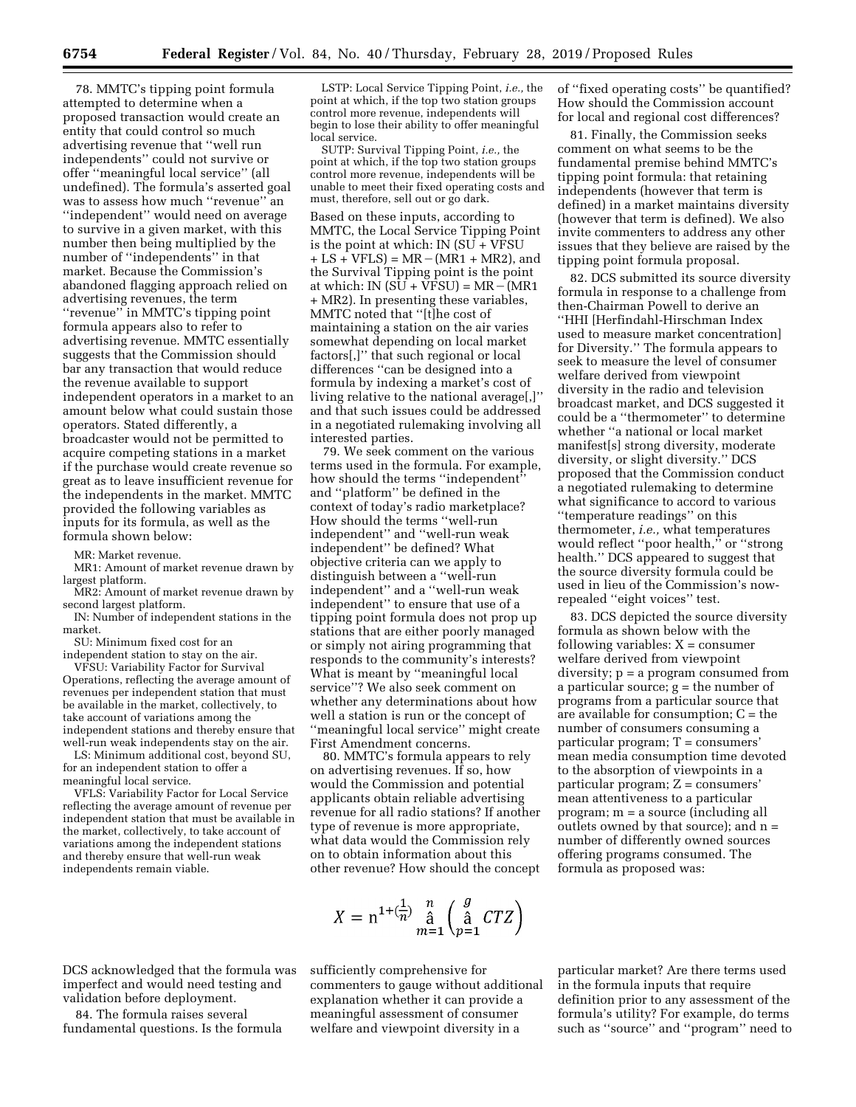78. MMTC's tipping point formula attempted to determine when a proposed transaction would create an entity that could control so much advertising revenue that ''well run independents'' could not survive or offer ''meaningful local service'' (all undefined). The formula's asserted goal was to assess how much ''revenue'' an ''independent'' would need on average to survive in a given market, with this number then being multiplied by the number of ''independents'' in that market. Because the Commission's abandoned flagging approach relied on advertising revenues, the term ''revenue'' in MMTC's tipping point formula appears also to refer to advertising revenue. MMTC essentially suggests that the Commission should bar any transaction that would reduce the revenue available to support independent operators in a market to an amount below what could sustain those operators. Stated differently, a broadcaster would not be permitted to acquire competing stations in a market if the purchase would create revenue so great as to leave insufficient revenue for the independents in the market. MMTC provided the following variables as inputs for its formula, as well as the formula shown below:

MR: Market revenue.

MR1: Amount of market revenue drawn by largest platform.

MR2: Amount of market revenue drawn by second largest platform.

IN: Number of independent stations in the market.

SU: Minimum fixed cost for an independent station to stay on the air.

VFSU: Variability Factor for Survival Operations, reflecting the average amount of revenues per independent station that must be available in the market, collectively, to take account of variations among the independent stations and thereby ensure that well-run weak independents stay on the air.

LS: Minimum additional cost, beyond SU, for an independent station to offer a meaningful local service.

VFLS: Variability Factor for Local Service reflecting the average amount of revenue per independent station that must be available in the market, collectively, to take account of variations among the independent stations and thereby ensure that well-run weak independents remain viable.

LSTP: Local Service Tipping Point, *i.e.,* the point at which, if the top two station groups control more revenue, independents will begin to lose their ability to offer meaningful local service.

SUTP: Survival Tipping Point, *i.e.,* the point at which, if the top two station groups control more revenue, independents will be unable to meet their fixed operating costs and must, therefore, sell out or go dark.

Based on these inputs, according to MMTC, the Local Service Tipping Point is the point at which: IN (SU + VFSU  $+ LS + VFLS$  = MR – (MR1 + MR2), and the Survival Tipping point is the point at which: IN  $(SU + VFSU) = MR - (MR1)$ + MR2). In presenting these variables, MMTC noted that ''[t]he cost of maintaining a station on the air varies somewhat depending on local market factors[,]'' that such regional or local differences ''can be designed into a formula by indexing a market's cost of living relative to the national average[,]'' and that such issues could be addressed in a negotiated rulemaking involving all interested parties.

79. We seek comment on the various terms used in the formula. For example, how should the terms ''independent'' and ''platform'' be defined in the context of today's radio marketplace? How should the terms ''well-run independent'' and ''well-run weak independent'' be defined? What objective criteria can we apply to distinguish between a ''well-run independent'' and a ''well-run weak independent'' to ensure that use of a tipping point formula does not prop up stations that are either poorly managed or simply not airing programming that responds to the community's interests? What is meant by ''meaningful local service''? We also seek comment on whether any determinations about how well a station is run or the concept of ''meaningful local service'' might create First Amendment concerns.

80. MMTC's formula appears to rely on advertising revenues. If so, how would the Commission and potential applicants obtain reliable advertising revenue for all radio stations? If another type of revenue is more appropriate, what data would the Commission rely on to obtain information about this other revenue? How should the concept

$$
X = \mathrm{n}^{1 + (\frac{1}{n})} \mathop{\mathrm{a}}_{m=1}^{n} \left( \mathop{\mathrm{a}}_{p=1}^{g} CTZ \right)
$$

DCS acknowledged that the formula was imperfect and would need testing and validation before deployment.

84. The formula raises several fundamental questions. Is the formula sufficiently comprehensive for commenters to gauge without additional explanation whether it can provide a meaningful assessment of consumer welfare and viewpoint diversity in a

of ''fixed operating costs'' be quantified? How should the Commission account for local and regional cost differences?

81. Finally, the Commission seeks comment on what seems to be the fundamental premise behind MMTC's tipping point formula: that retaining independents (however that term is defined) in a market maintains diversity (however that term is defined). We also invite commenters to address any other issues that they believe are raised by the tipping point formula proposal.

82. DCS submitted its source diversity formula in response to a challenge from then-Chairman Powell to derive an ''HHI [Herfindahl-Hirschman Index used to measure market concentration] for Diversity.'' The formula appears to seek to measure the level of consumer welfare derived from viewpoint diversity in the radio and television broadcast market, and DCS suggested it could be a ''thermometer'' to determine whether ''a national or local market manifest[s] strong diversity, moderate diversity, or slight diversity.'' DCS proposed that the Commission conduct a negotiated rulemaking to determine what significance to accord to various ''temperature readings'' on this thermometer, *i.e.,* what temperatures would reflect ''poor health,'' or ''strong health.'' DCS appeared to suggest that the source diversity formula could be used in lieu of the Commission's nowrepealed ''eight voices'' test.

83. DCS depicted the source diversity formula as shown below with the following variables:  $X = \text{consumer}$ welfare derived from viewpoint diversity; p = a program consumed from a particular source;  $g =$  the number of programs from a particular source that are available for consumption;  $C = the$ number of consumers consuming a particular program; T = consumers' mean media consumption time devoted to the absorption of viewpoints in a particular program; Z = consumers' mean attentiveness to a particular program; m = a source (including all outlets owned by that source); and n = number of differently owned sources offering programs consumed. The formula as proposed was:

particular market? Are there terms used in the formula inputs that require definition prior to any assessment of the formula's utility? For example, do terms such as ''source'' and ''program'' need to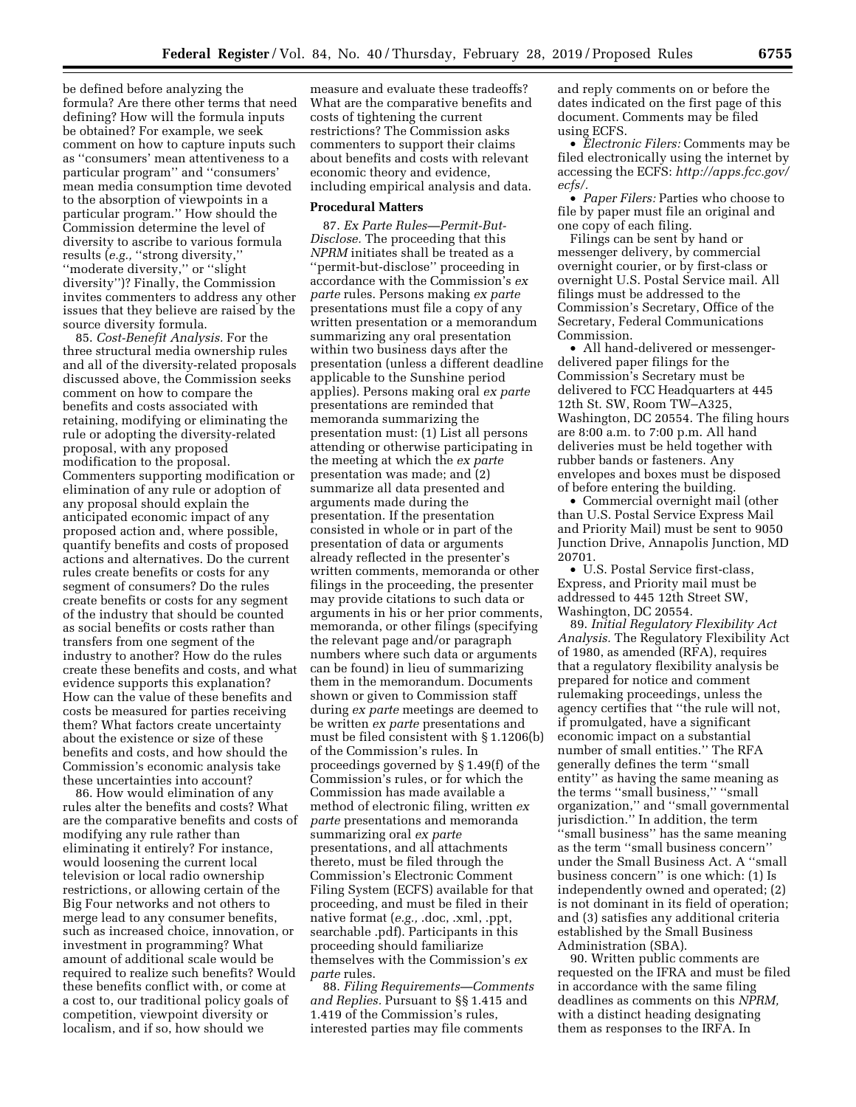be defined before analyzing the formula? Are there other terms that need defining? How will the formula inputs be obtained? For example, we seek comment on how to capture inputs such as ''consumers' mean attentiveness to a particular program'' and ''consumers' mean media consumption time devoted to the absorption of viewpoints in a particular program.'' How should the Commission determine the level of diversity to ascribe to various formula results (*e.g.,* ''strong diversity,'' ''moderate diversity,'' or ''slight diversity'')? Finally, the Commission invites commenters to address any other issues that they believe are raised by the source diversity formula.

85. *Cost-Benefit Analysis.* For the three structural media ownership rules and all of the diversity-related proposals discussed above, the Commission seeks comment on how to compare the benefits and costs associated with retaining, modifying or eliminating the rule or adopting the diversity-related proposal, with any proposed modification to the proposal. Commenters supporting modification or elimination of any rule or adoption of any proposal should explain the anticipated economic impact of any proposed action and, where possible, quantify benefits and costs of proposed actions and alternatives. Do the current rules create benefits or costs for any segment of consumers? Do the rules create benefits or costs for any segment of the industry that should be counted as social benefits or costs rather than transfers from one segment of the industry to another? How do the rules create these benefits and costs, and what evidence supports this explanation? How can the value of these benefits and costs be measured for parties receiving them? What factors create uncertainty about the existence or size of these benefits and costs, and how should the Commission's economic analysis take these uncertainties into account?

86. How would elimination of any rules alter the benefits and costs? What are the comparative benefits and costs of modifying any rule rather than eliminating it entirely? For instance, would loosening the current local television or local radio ownership restrictions, or allowing certain of the Big Four networks and not others to merge lead to any consumer benefits, such as increased choice, innovation, or investment in programming? What amount of additional scale would be required to realize such benefits? Would these benefits conflict with, or come at a cost to, our traditional policy goals of competition, viewpoint diversity or localism, and if so, how should we

measure and evaluate these tradeoffs? What are the comparative benefits and costs of tightening the current restrictions? The Commission asks commenters to support their claims about benefits and costs with relevant economic theory and evidence, including empirical analysis and data.

### **Procedural Matters**

87. *Ex Parte Rules—Permit-But-Disclose.* The proceeding that this *NPRM* initiates shall be treated as a ''permit-but-disclose'' proceeding in accordance with the Commission's *ex parte* rules. Persons making *ex parte*  presentations must file a copy of any written presentation or a memorandum summarizing any oral presentation within two business days after the presentation (unless a different deadline applicable to the Sunshine period applies). Persons making oral *ex parte*  presentations are reminded that memoranda summarizing the presentation must: (1) List all persons attending or otherwise participating in the meeting at which the *ex parte*  presentation was made; and (2) summarize all data presented and arguments made during the presentation. If the presentation consisted in whole or in part of the presentation of data or arguments already reflected in the presenter's written comments, memoranda or other filings in the proceeding, the presenter may provide citations to such data or arguments in his or her prior comments, memoranda, or other filings (specifying the relevant page and/or paragraph numbers where such data or arguments can be found) in lieu of summarizing them in the memorandum. Documents shown or given to Commission staff during *ex parte* meetings are deemed to be written *ex parte* presentations and must be filed consistent with § 1.1206(b) of the Commission's rules. In proceedings governed by § 1.49(f) of the Commission's rules, or for which the Commission has made available a method of electronic filing, written *ex parte* presentations and memoranda summarizing oral *ex parte*  presentations, and all attachments thereto, must be filed through the Commission's Electronic Comment Filing System (ECFS) available for that proceeding, and must be filed in their native format (*e.g.,* .doc, .xml, .ppt, searchable .pdf). Participants in this proceeding should familiarize themselves with the Commission's *ex parte* rules.

88. *Filing Requirements—Comments and Replies.* Pursuant to §§ 1.415 and 1.419 of the Commission's rules, interested parties may file comments

and reply comments on or before the dates indicated on the first page of this document. Comments may be filed using ECFS.

• *Electronic Filers:* Comments may be filed electronically using the internet by accessing the ECFS: *[http://apps.fcc.gov/](http://apps.fcc.gov/ecfs/)  [ecfs/.](http://apps.fcc.gov/ecfs/)* 

• *Paper Filers:* Parties who choose to file by paper must file an original and one copy of each filing.

Filings can be sent by hand or messenger delivery, by commercial overnight courier, or by first-class or overnight U.S. Postal Service mail. All filings must be addressed to the Commission's Secretary, Office of the Secretary, Federal Communications Commission.

• All hand-delivered or messengerdelivered paper filings for the Commission's Secretary must be delivered to FCC Headquarters at 445 12th St. SW, Room TW–A325, Washington, DC 20554. The filing hours are 8:00 a.m. to 7:00 p.m. All hand deliveries must be held together with rubber bands or fasteners. Any envelopes and boxes must be disposed of before entering the building.

• Commercial overnight mail (other than U.S. Postal Service Express Mail and Priority Mail) must be sent to 9050 Junction Drive, Annapolis Junction, MD 20701.

• U.S. Postal Service first-class, Express, and Priority mail must be addressed to 445 12th Street SW, Washington, DC 20554.

89. *Initial Regulatory Flexibility Act Analysis.* The Regulatory Flexibility Act of 1980, as amended (RFA), requires that a regulatory flexibility analysis be prepared for notice and comment rulemaking proceedings, unless the agency certifies that ''the rule will not, if promulgated, have a significant economic impact on a substantial number of small entities.'' The RFA generally defines the term ''small entity'' as having the same meaning as the terms ''small business,'' ''small organization,'' and ''small governmental jurisdiction.'' In addition, the term ''small business'' has the same meaning as the term ''small business concern'' under the Small Business Act. A ''small business concern'' is one which: (1) Is independently owned and operated; (2) is not dominant in its field of operation; and (3) satisfies any additional criteria established by the Small Business Administration (SBA).

90. Written public comments are requested on the IFRA and must be filed in accordance with the same filing deadlines as comments on this *NPRM,*  with a distinct heading designating them as responses to the IRFA. In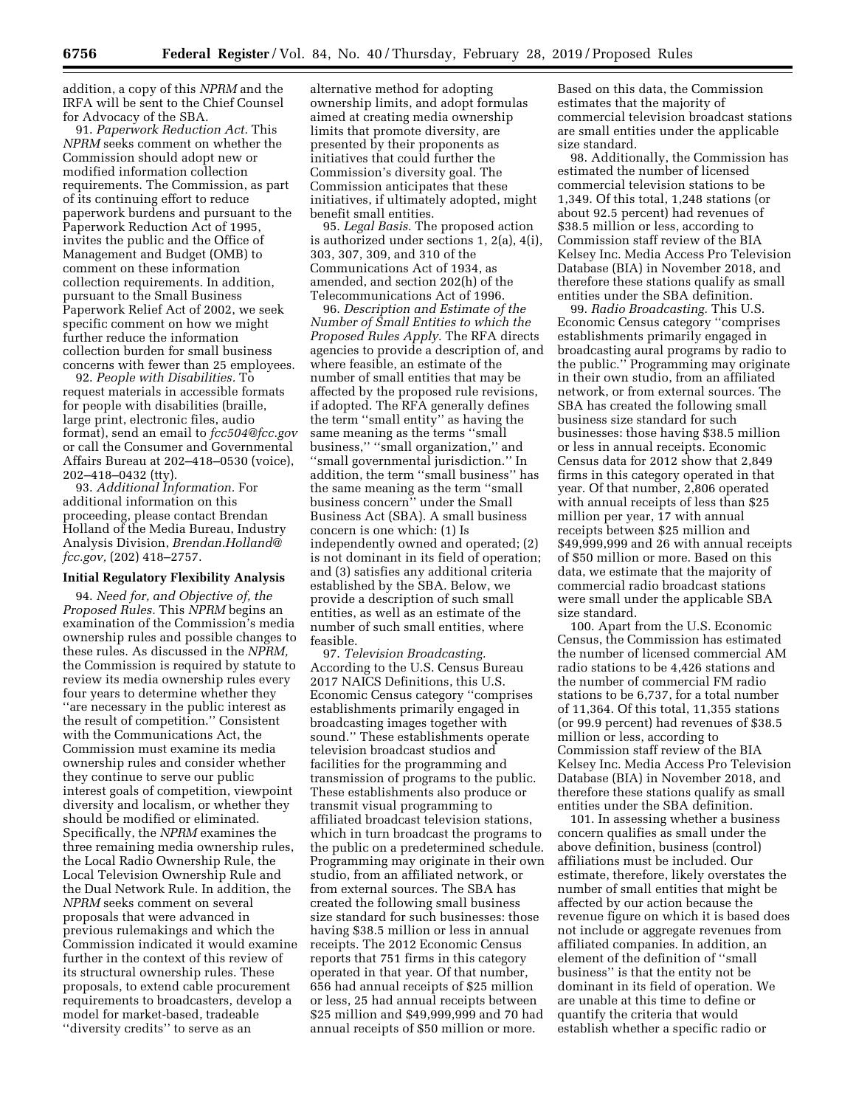addition, a copy of this *NPRM* and the IRFA will be sent to the Chief Counsel for Advocacy of the SBA.

91. *Paperwork Reduction Act.* This *NPRM* seeks comment on whether the Commission should adopt new or modified information collection requirements. The Commission, as part of its continuing effort to reduce paperwork burdens and pursuant to the Paperwork Reduction Act of 1995, invites the public and the Office of Management and Budget (OMB) to comment on these information collection requirements. In addition, pursuant to the Small Business Paperwork Relief Act of 2002, we seek specific comment on how we might further reduce the information collection burden for small business concerns with fewer than 25 employees.

92. *People with Disabilities.* To request materials in accessible formats for people with disabilities (braille, large print, electronic files, audio format), send an email to *[fcc504@fcc.gov](mailto:fcc504@fcc.gov)*  or call the Consumer and Governmental Affairs Bureau at 202–418–0530 (voice), 202–418–0432 (tty).

93. *Additional Information.* For additional information on this proceeding, please contact Brendan Holland of the Media Bureau, Industry Analysis Division, *[Brendan.Holland@](mailto:Brendan.Holland@fcc.gov) [fcc.gov,](mailto:Brendan.Holland@fcc.gov)* (202) 418–2757.

### **Initial Regulatory Flexibility Analysis**

94. *Need for, and Objective of, the Proposed Rules.* This *NPRM* begins an examination of the Commission's media ownership rules and possible changes to these rules. As discussed in the *NPRM,*  the Commission is required by statute to review its media ownership rules every four years to determine whether they ''are necessary in the public interest as the result of competition.'' Consistent with the Communications Act, the Commission must examine its media ownership rules and consider whether they continue to serve our public interest goals of competition, viewpoint diversity and localism, or whether they should be modified or eliminated. Specifically, the *NPRM* examines the three remaining media ownership rules, the Local Radio Ownership Rule, the Local Television Ownership Rule and the Dual Network Rule. In addition, the *NPRM* seeks comment on several proposals that were advanced in previous rulemakings and which the Commission indicated it would examine further in the context of this review of its structural ownership rules. These proposals, to extend cable procurement requirements to broadcasters, develop a model for market-based, tradeable ''diversity credits'' to serve as an

alternative method for adopting ownership limits, and adopt formulas aimed at creating media ownership limits that promote diversity, are presented by their proponents as initiatives that could further the Commission's diversity goal. The Commission anticipates that these initiatives, if ultimately adopted, might benefit small entities.

95. *Legal Basis.* The proposed action is authorized under sections 1, 2(a), 4(i), 303, 307, 309, and 310 of the Communications Act of 1934, as amended, and section 202(h) of the Telecommunications Act of 1996.

96. *Description and Estimate of the Number of Small Entities to which the Proposed Rules Apply.* The RFA directs agencies to provide a description of, and where feasible, an estimate of the number of small entities that may be affected by the proposed rule revisions, if adopted. The RFA generally defines the term ''small entity'' as having the same meaning as the terms ''small business,'' ''small organization,'' and ''small governmental jurisdiction.'' In addition, the term ''small business'' has the same meaning as the term ''small business concern'' under the Small Business Act (SBA). A small business concern is one which: (1) Is independently owned and operated; (2) is not dominant in its field of operation; and (3) satisfies any additional criteria established by the SBA. Below, we provide a description of such small entities, as well as an estimate of the number of such small entities, where feasible.

97. *Television Broadcasting.*  According to the U.S. Census Bureau 2017 NAICS Definitions, this U.S. Economic Census category ''comprises establishments primarily engaged in broadcasting images together with sound.'' These establishments operate television broadcast studios and facilities for the programming and transmission of programs to the public. These establishments also produce or transmit visual programming to affiliated broadcast television stations, which in turn broadcast the programs to the public on a predetermined schedule. Programming may originate in their own studio, from an affiliated network, or from external sources. The SBA has created the following small business size standard for such businesses: those having \$38.5 million or less in annual receipts. The 2012 Economic Census reports that 751 firms in this category operated in that year. Of that number, 656 had annual receipts of \$25 million or less, 25 had annual receipts between \$25 million and \$49,999,999 and 70 had annual receipts of \$50 million or more.

Based on this data, the Commission estimates that the majority of commercial television broadcast stations are small entities under the applicable size standard.

98. Additionally, the Commission has estimated the number of licensed commercial television stations to be 1,349. Of this total, 1,248 stations (or about 92.5 percent) had revenues of \$38.5 million or less, according to Commission staff review of the BIA Kelsey Inc. Media Access Pro Television Database (BIA) in November 2018, and therefore these stations qualify as small entities under the SBA definition.

99. *Radio Broadcasting.* This U.S. Economic Census category ''comprises establishments primarily engaged in broadcasting aural programs by radio to the public.'' Programming may originate in their own studio, from an affiliated network, or from external sources. The SBA has created the following small business size standard for such businesses: those having \$38.5 million or less in annual receipts. Economic Census data for 2012 show that 2,849 firms in this category operated in that year. Of that number, 2,806 operated with annual receipts of less than \$25 million per year, 17 with annual receipts between \$25 million and \$49,999,999 and 26 with annual receipts of \$50 million or more. Based on this data, we estimate that the majority of commercial radio broadcast stations were small under the applicable SBA size standard.

100. Apart from the U.S. Economic Census, the Commission has estimated the number of licensed commercial AM radio stations to be 4,426 stations and the number of commercial FM radio stations to be 6,737, for a total number of 11,364. Of this total, 11,355 stations (or 99.9 percent) had revenues of \$38.5 million or less, according to Commission staff review of the BIA Kelsey Inc. Media Access Pro Television Database (BIA) in November 2018, and therefore these stations qualify as small entities under the SBA definition.

101. In assessing whether a business concern qualifies as small under the above definition, business (control) affiliations must be included. Our estimate, therefore, likely overstates the number of small entities that might be affected by our action because the revenue figure on which it is based does not include or aggregate revenues from affiliated companies. In addition, an element of the definition of ''small business'' is that the entity not be dominant in its field of operation. We are unable at this time to define or quantify the criteria that would establish whether a specific radio or